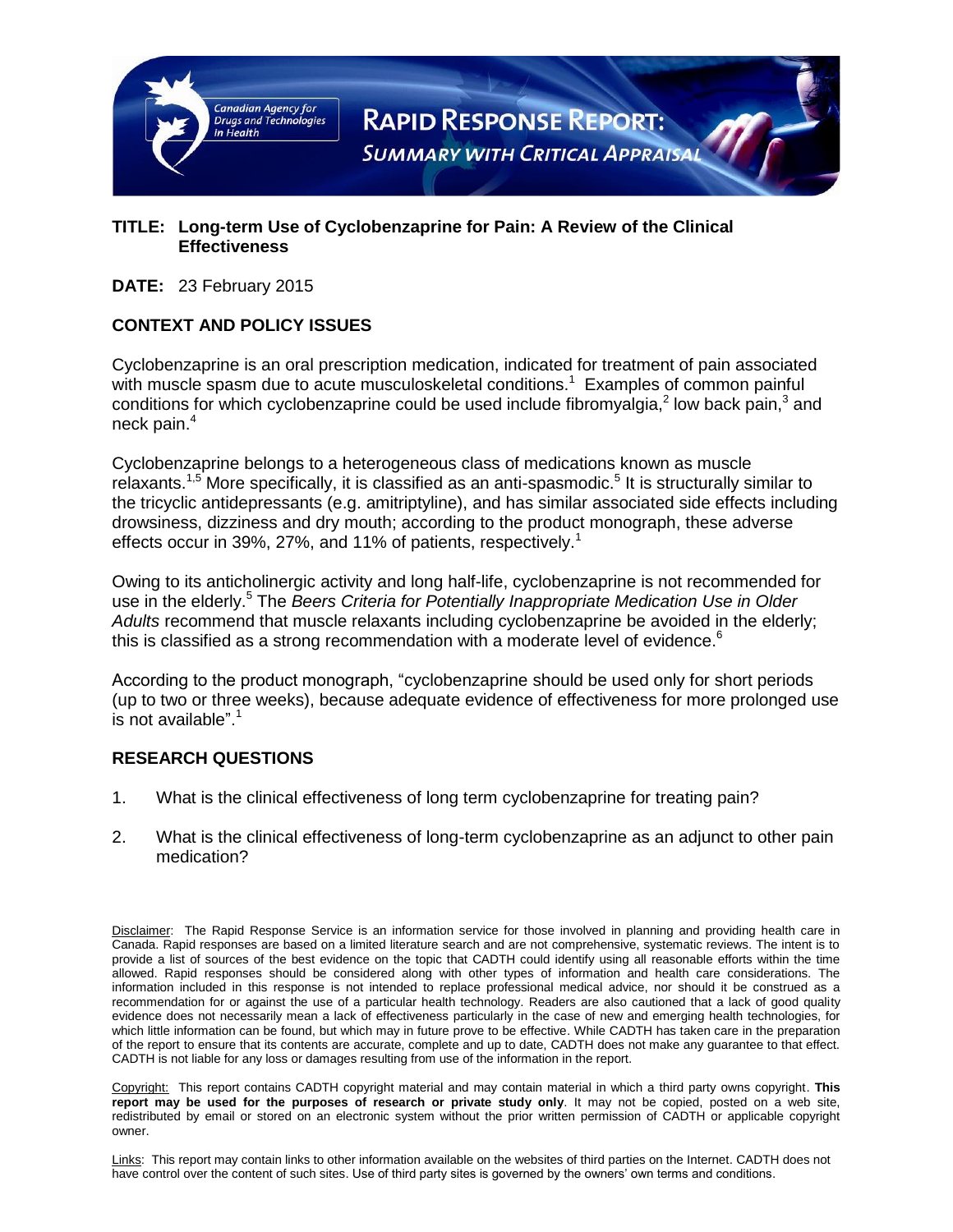

#### **TITLE: Long-term Use of Cyclobenzaprine for Pain: A Review of the Clinical Effectiveness**

#### **DATE:** 23 February 2015

#### **CONTEXT AND POLICY ISSUES**

Cyclobenzaprine is an oral prescription medication, indicated for treatment of pain associated with muscle spasm due to acute musculoskeletal conditions.<sup>1</sup> Examples of common painful conditions for which cyclobenzaprine could be used include fibromyalgia,<sup>2</sup> low back pain,<sup>3</sup> and neck pain.<sup>4</sup>

Cyclobenzaprine belongs to a heterogeneous class of medications known as muscle relaxants.<sup>1,5</sup> More specifically, it is classified as an anti-spasmodic.<sup>5</sup> It is structurally similar to the tricyclic antidepressants (e.g. amitriptyline), and has similar associated side effects including drowsiness, dizziness and dry mouth; according to the product monograph, these adverse effects occur in 39%, 27%, and 11% of patients, respectively.<sup>1</sup>

Owing to its anticholinergic activity and long half-life, cyclobenzaprine is not recommended for use in the elderly.<sup>5</sup> The *Beers Criteria for Potentially Inappropriate Medication Use in Older Adults* recommend that muscle relaxants including cyclobenzaprine be avoided in the elderly; this is classified as a strong recommendation with a moderate level of evidence.<sup>6</sup>

According to the product monograph, "cyclobenzaprine should be used only for short periods (up to two or three weeks), because adequate evidence of effectiveness for more prolonged use is not available".<sup>1</sup>

#### **RESEARCH QUESTIONS**

- 1. What is the clinical effectiveness of long term cyclobenzaprine for treating pain?
- 2. What is the clinical effectiveness of long-term cyclobenzaprine as an adjunct to other pain medication?

Disclaimer: The Rapid Response Service is an information service for those involved in planning and providing health care in Canada. Rapid responses are based on a limited literature search and are not comprehensive, systematic reviews. The intent is to provide a list of sources of the best evidence on the topic that CADTH could identify using all reasonable efforts within the time allowed. Rapid responses should be considered along with other types of information and health care considerations. The information included in this response is not intended to replace professional medical advice, nor should it be construed as a recommendation for or against the use of a particular health technology. Readers are also cautioned that a lack of good quality evidence does not necessarily mean a lack of effectiveness particularly in the case of new and emerging health technologies, for which little information can be found, but which may in future prove to be effective. While CADTH has taken care in the preparation of the report to ensure that its contents are accurate, complete and up to date, CADTH does not make any guarantee to that effect. CADTH is not liable for any loss or damages resulting from use of the information in the report.

Copyright: This report contains CADTH copyright material and may contain material in which a third party owns copyright. **This report may be used for the purposes of research or private study only**. It may not be copied, posted on a web site, redistributed by email or stored on an electronic system without the prior written permission of CADTH or applicable copyright owner.

Links: This report may contain links to other information available on the websites of third parties on the Internet. CADTH does not have control over the content of such sites. Use of third party sites is governed by the owners" own terms and conditions.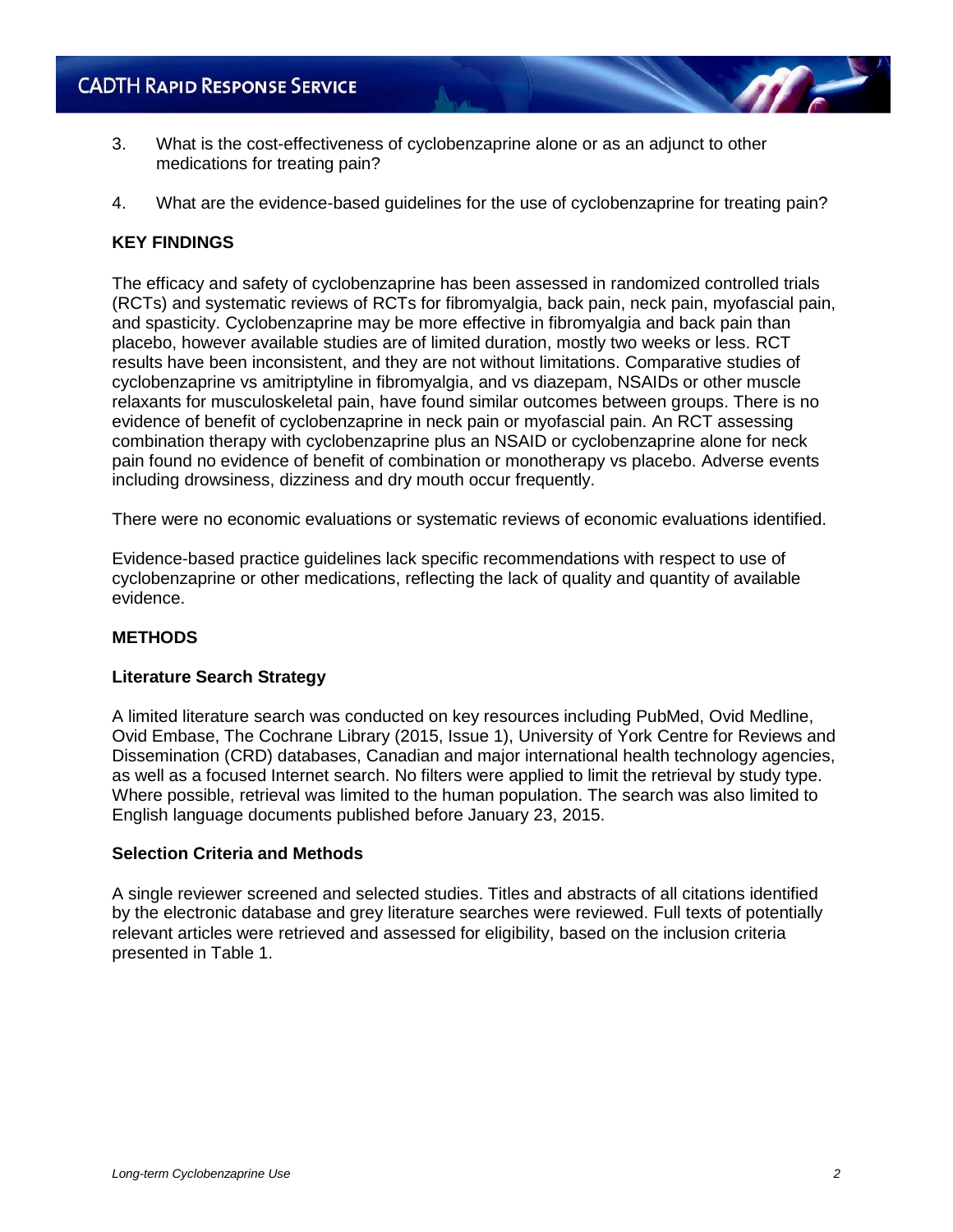- 3. What is the cost-effectiveness of cyclobenzaprine alone or as an adjunct to other medications for treating pain?
- 4. What are the evidence-based guidelines for the use of cyclobenzaprine for treating pain?

#### **KEY FINDINGS**

The efficacy and safety of cyclobenzaprine has been assessed in randomized controlled trials (RCTs) and systematic reviews of RCTs for fibromyalgia, back pain, neck pain, myofascial pain, and spasticity. Cyclobenzaprine may be more effective in fibromyalgia and back pain than placebo, however available studies are of limited duration, mostly two weeks or less. RCT results have been inconsistent, and they are not without limitations. Comparative studies of cyclobenzaprine vs amitriptyline in fibromyalgia, and vs diazepam, NSAIDs or other muscle relaxants for musculoskeletal pain, have found similar outcomes between groups. There is no evidence of benefit of cyclobenzaprine in neck pain or myofascial pain. An RCT assessing combination therapy with cyclobenzaprine plus an NSAID or cyclobenzaprine alone for neck pain found no evidence of benefit of combination or monotherapy vs placebo. Adverse events including drowsiness, dizziness and dry mouth occur frequently.

There were no economic evaluations or systematic reviews of economic evaluations identified.

Evidence-based practice guidelines lack specific recommendations with respect to use of cyclobenzaprine or other medications, reflecting the lack of quality and quantity of available evidence.

#### **METHODS**

#### **Literature Search Strategy**

A limited literature search was conducted on key resources including PubMed, Ovid Medline, Ovid Embase, The Cochrane Library (2015, Issue 1), University of York Centre for Reviews and Dissemination (CRD) databases, Canadian and major international health technology agencies, as well as a focused Internet search. No filters were applied to limit the retrieval by study type. Where possible, retrieval was limited to the human population. The search was also limited to English language documents published before January 23, 2015.

#### **Selection Criteria and Methods**

A single reviewer screened and selected studies. Titles and abstracts of all citations identified by the electronic database and grey literature searches were reviewed. Full texts of potentially relevant articles were retrieved and assessed for eligibility, based on the inclusion criteria presented in Table 1.

**AT**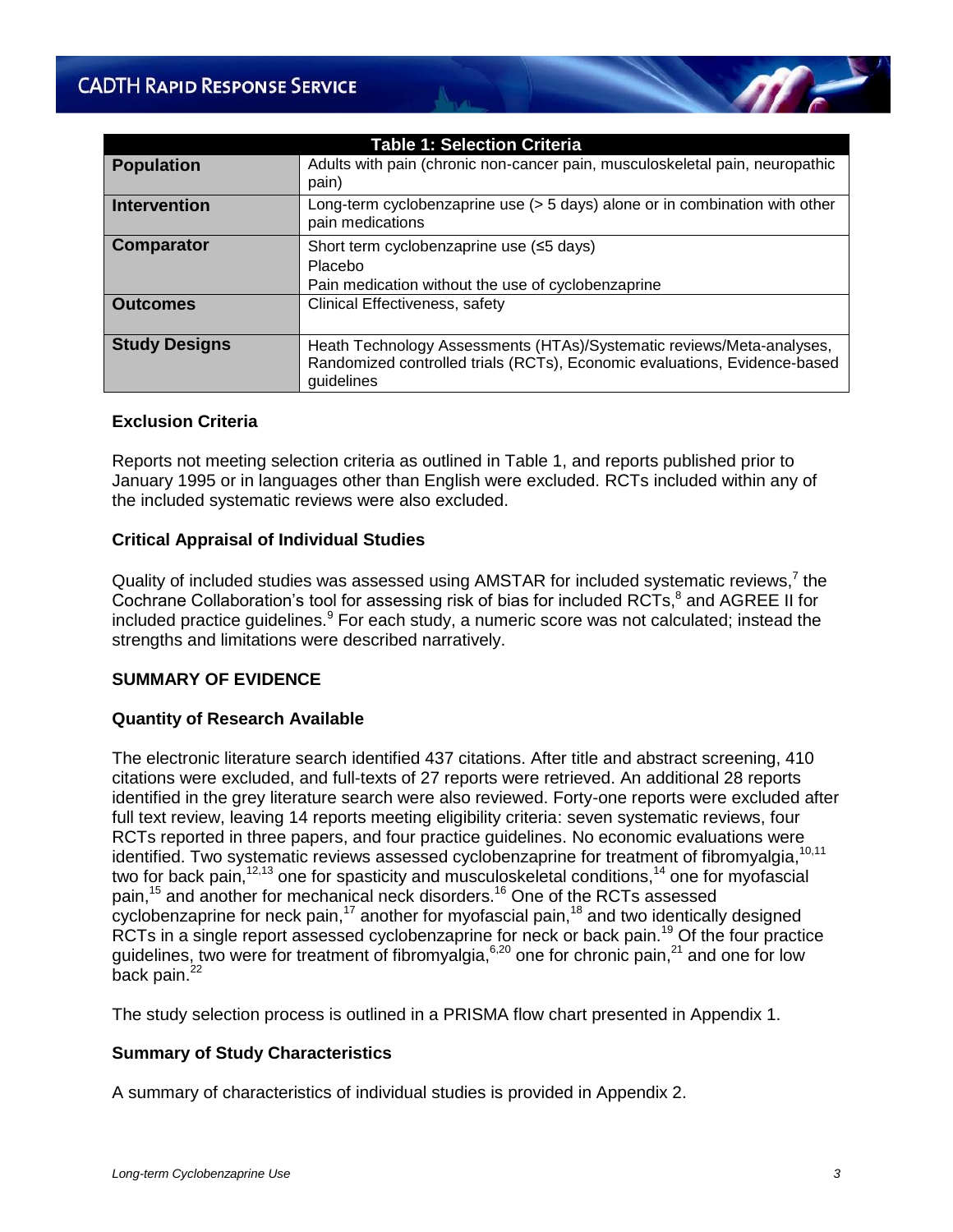| <b>Table 1: Selection Criteria</b> |                                                                                                                                                                  |  |  |  |  |
|------------------------------------|------------------------------------------------------------------------------------------------------------------------------------------------------------------|--|--|--|--|
| <b>Population</b>                  | Adults with pain (chronic non-cancer pain, musculoskeletal pain, neuropathic<br>pain)                                                                            |  |  |  |  |
| <b>Intervention</b>                | Long-term cyclobenzaprine use (> 5 days) alone or in combination with other<br>pain medications                                                                  |  |  |  |  |
| <b>Comparator</b>                  | Short term cyclobenzaprine use (≤5 days)<br>Placebo<br>Pain medication without the use of cyclobenzaprine                                                        |  |  |  |  |
| <b>Outcomes</b>                    | Clinical Effectiveness, safety                                                                                                                                   |  |  |  |  |
| <b>Study Designs</b>               | Heath Technology Assessments (HTAs)/Systematic reviews/Meta-analyses,<br>Randomized controlled trials (RCTs), Economic evaluations, Evidence-based<br>guidelines |  |  |  |  |

#### **Exclusion Criteria**

Reports not meeting selection criteria as outlined in Table 1, and reports published prior to January 1995 or in languages other than English were excluded. RCTs included within any of the included systematic reviews were also excluded.

#### **Critical Appraisal of Individual Studies**

Quality of included studies was assessed using AMSTAR for included systematic reviews,<sup>7</sup> the Cochrane Collaboration's tool for assessing risk of bias for included RCTs,<sup>8</sup> and AGREE II for included practice guidelines.<sup>9</sup> For each study, a numeric score was not calculated; instead the strengths and limitations were described narratively.

#### **SUMMARY OF EVIDENCE**

#### **Quantity of Research Available**

The electronic literature search identified 437 citations. After title and abstract screening, 410 citations were excluded, and full-texts of 27 reports were retrieved. An additional 28 reports identified in the grey literature search were also reviewed. Forty-one reports were excluded after full text review, leaving 14 reports meeting eligibility criteria: seven systematic reviews, four RCTs reported in three papers, and four practice guidelines. No economic evaluations were identified. Two systematic reviews assessed cyclobenzaprine for treatment of fibromyalgia, 10,11 two for back pain,  $12,13$  one for spasticity and musculoskeletal conditions,  $14$  one for myofascial pain,<sup>15</sup> and another for mechanical neck disorders.<sup>16</sup> One of the RCTs assessed cyclobenzaprine for neck pain,<sup>17</sup> another for myofascial pain,<sup>18</sup> and two identically designed RCTs in a single report assessed cyclobenzaprine for neck or back pain.<sup>19</sup> Of the four practice guidelines, two were for treatment of fibromyalgia,  $6,20$  one for chronic pain,  $21$  and one for low back pain.<sup>22</sup>

The study selection process is outlined in a PRISMA flow chart presented in Appendix 1.

#### **Summary of Study Characteristics**

A summary of characteristics of individual studies is provided in Appendix 2.

 $\eta$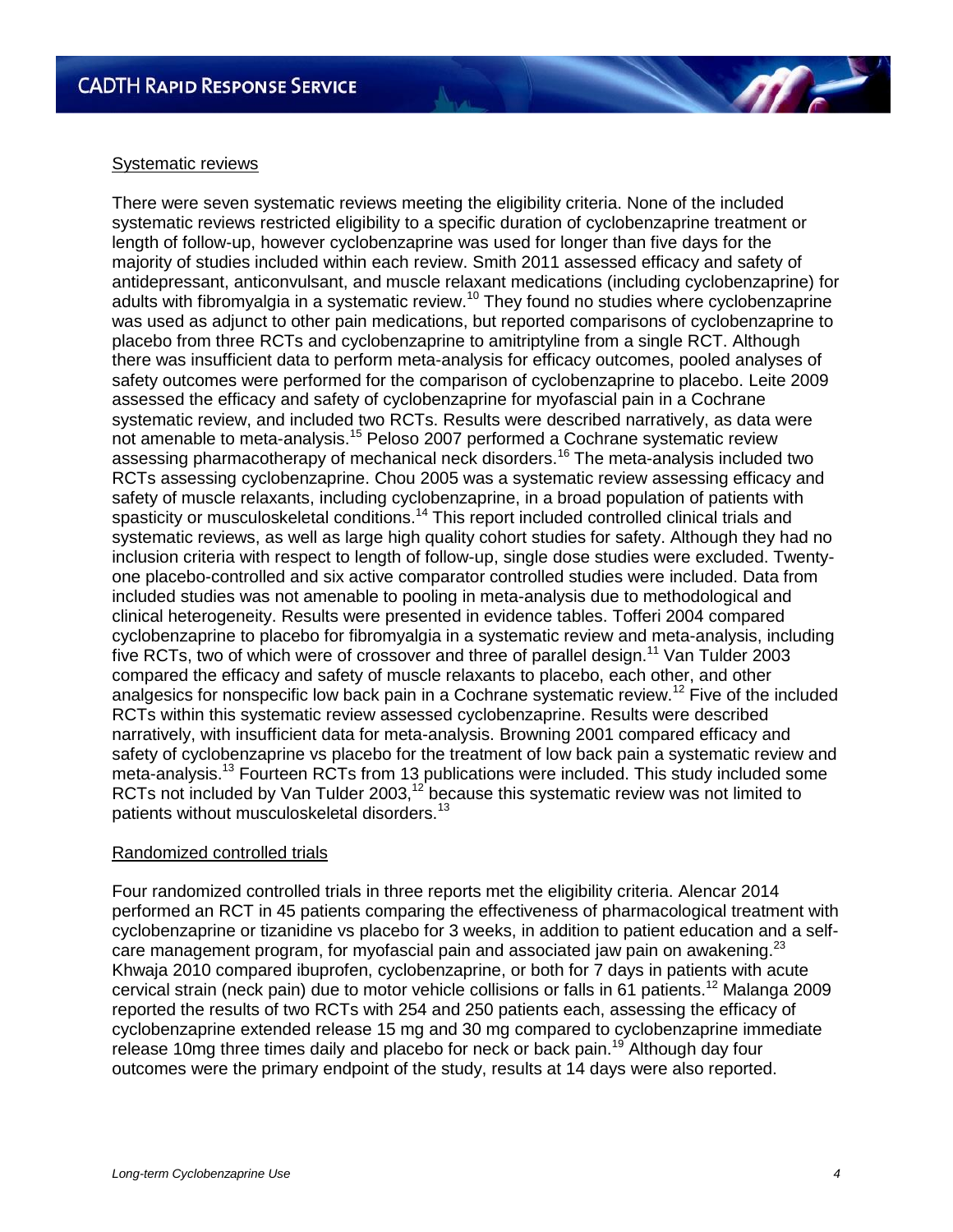#### Systematic reviews

There were seven systematic reviews meeting the eligibility criteria. None of the included systematic reviews restricted eligibility to a specific duration of cyclobenzaprine treatment or length of follow-up, however cyclobenzaprine was used for longer than five days for the majority of studies included within each review. Smith 2011 assessed efficacy and safety of antidepressant, anticonvulsant, and muscle relaxant medications (including cyclobenzaprine) for adults with fibromyalgia in a systematic review.<sup>10</sup> They found no studies where cyclobenzaprine was used as adjunct to other pain medications, but reported comparisons of cyclobenzaprine to placebo from three RCTs and cyclobenzaprine to amitriptyline from a single RCT. Although there was insufficient data to perform meta-analysis for efficacy outcomes, pooled analyses of safety outcomes were performed for the comparison of cyclobenzaprine to placebo. Leite 2009 assessed the efficacy and safety of cyclobenzaprine for myofascial pain in a Cochrane systematic review, and included two RCTs. Results were described narratively, as data were not amenable to meta-analysis.<sup>15</sup> Peloso 2007 performed a Cochrane systematic review assessing pharmacotherapy of mechanical neck disorders.<sup>16</sup> The meta-analysis included two RCTs assessing cyclobenzaprine. Chou 2005 was a systematic review assessing efficacy and safety of muscle relaxants, including cyclobenzaprine, in a broad population of patients with spasticity or musculoskeletal conditions.<sup>14</sup> This report included controlled clinical trials and systematic reviews, as well as large high quality cohort studies for safety. Although they had no inclusion criteria with respect to length of follow-up, single dose studies were excluded. Twentyone placebo-controlled and six active comparator controlled studies were included. Data from included studies was not amenable to pooling in meta-analysis due to methodological and clinical heterogeneity. Results were presented in evidence tables. Tofferi 2004 compared cyclobenzaprine to placebo for fibromyalgia in a systematic review and meta-analysis, including five RCTs, two of which were of crossover and three of parallel design.<sup>11</sup> Van Tulder 2003 compared the efficacy and safety of muscle relaxants to placebo, each other, and other analgesics for nonspecific low back pain in a Cochrane systematic review.<sup>12</sup> Five of the included RCTs within this systematic review assessed cyclobenzaprine. Results were described narratively, with insufficient data for meta-analysis. Browning 2001 compared efficacy and safety of cyclobenzaprine vs placebo for the treatment of low back pain a systematic review and meta-analysis.<sup>13</sup> Fourteen RCTs from 13 publications were included. This study included some RCTs not included by Van Tulder 2003,<sup>12</sup> because this systematic review was not limited to patients without musculoskeletal disorders.<sup>13</sup>

#### Randomized controlled trials

Four randomized controlled trials in three reports met the eligibility criteria. Alencar 2014 performed an RCT in 45 patients comparing the effectiveness of pharmacological treatment with cyclobenzaprine or tizanidine vs placebo for 3 weeks, in addition to patient education and a selfcare management program, for myofascial pain and associated jaw pain on awakening.<sup>23</sup> Khwaja 2010 compared ibuprofen, cyclobenzaprine, or both for 7 days in patients with acute cervical strain (neck pain) due to motor vehicle collisions or falls in 61 patients.<sup>12</sup> Malanga 2009 reported the results of two RCTs with 254 and 250 patients each, assessing the efficacy of cyclobenzaprine extended release 15 mg and 30 mg compared to cyclobenzaprine immediate release 10mg three times daily and placebo for neck or back pain.<sup>19</sup> Although day four outcomes were the primary endpoint of the study, results at 14 days were also reported.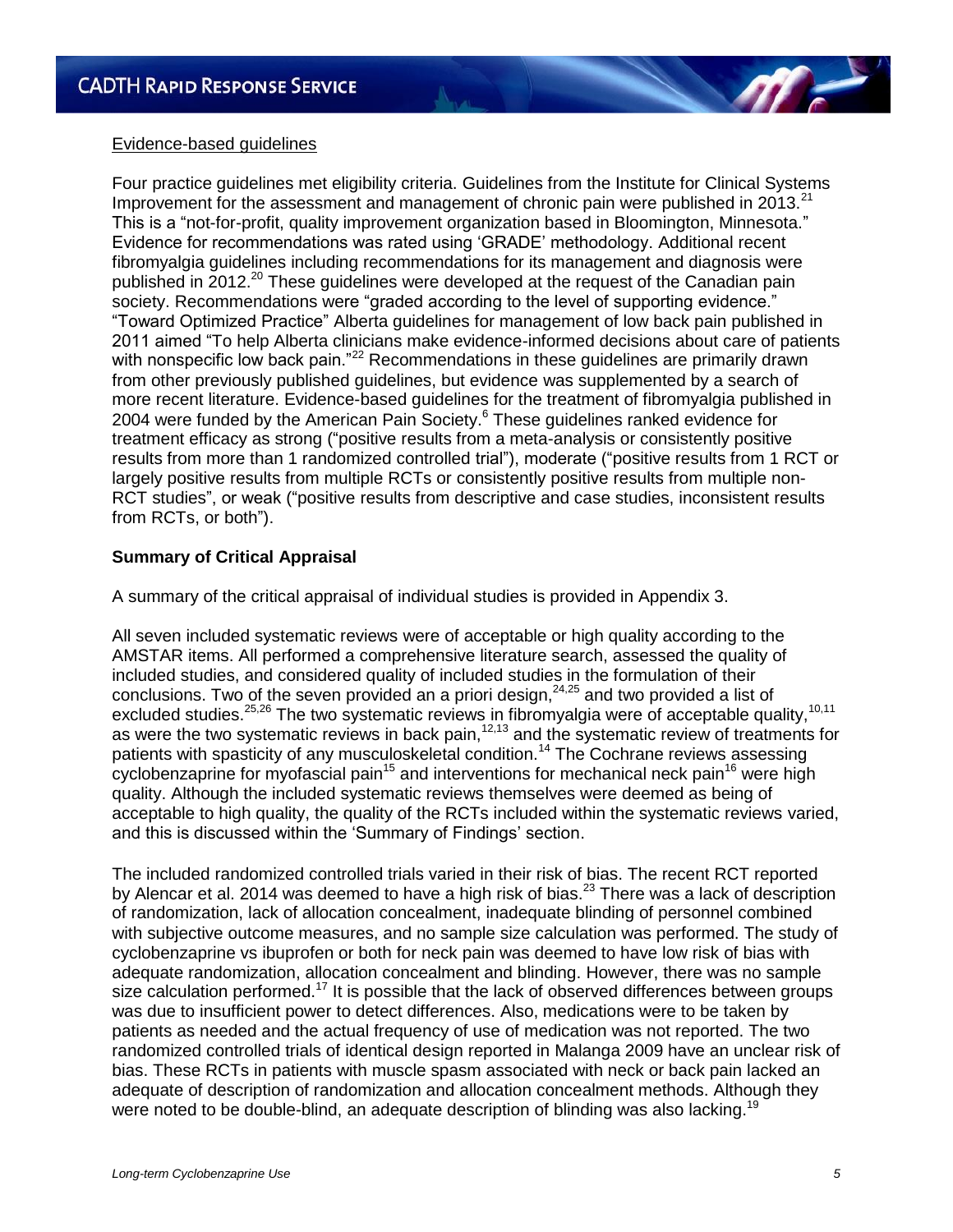

Four practice guidelines met eligibility criteria. Guidelines from the Institute for Clinical Systems Improvement for the assessment and management of chronic pain were published in 2013. $^{21}$ This is a "not-for-profit, quality improvement organization based in Bloomington, Minnesota." Evidence for recommendations was rated using "GRADE" methodology. Additional recent fibromyalgia guidelines including recommendations for its management and diagnosis were published in 2012.<sup>20</sup> These guidelines were developed at the request of the Canadian pain society. Recommendations were "graded according to the level of supporting evidence." "Toward Optimized Practice" Alberta guidelines for management of low back pain published in 2011 aimed "To help Alberta clinicians make evidence-informed decisions about care of patients with nonspecific low back pain."<sup>22</sup> Recommendations in these guidelines are primarily drawn from other previously published guidelines, but evidence was supplemented by a search of more recent literature. Evidence-based guidelines for the treatment of fibromyalgia published in 2004 were funded by the American Pain Society.<sup>6</sup> These guidelines ranked evidence for treatment efficacy as strong ("positive results from a meta-analysis or consistently positive results from more than 1 randomized controlled trial"), moderate ("positive results from 1 RCT or largely positive results from multiple RCTs or consistently positive results from multiple non-RCT studies", or weak ("positive results from descriptive and case studies, inconsistent results from RCTs, or both").

#### **Summary of Critical Appraisal**

A summary of the critical appraisal of individual studies is provided in Appendix 3.

All seven included systematic reviews were of acceptable or high quality according to the AMSTAR items. All performed a comprehensive literature search, assessed the quality of included studies, and considered quality of included studies in the formulation of their conclusions. Two of the seven provided an a priori design, $24,25$  and two provided a list of excluded studies.<sup>25,26</sup> The two systematic reviews in fibromyalgia were of acceptable quality,<sup>10,11</sup> as were the two systematic reviews in back pain, $12,13$  and the systematic review of treatments for patients with spasticity of any musculoskeletal condition.<sup>14</sup> The Cochrane reviews assessing cyclobenzaprine for myofascial pain<sup>15</sup> and interventions for mechanical neck pain<sup>16</sup> were high quality. Although the included systematic reviews themselves were deemed as being of acceptable to high quality, the quality of the RCTs included within the systematic reviews varied, and this is discussed within the "Summary of Findings" section.

The included randomized controlled trials varied in their risk of bias. The recent RCT reported by Alencar et al. 2014 was deemed to have a high risk of bias.<sup>23</sup> There was a lack of description of randomization, lack of allocation concealment, inadequate blinding of personnel combined with subjective outcome measures, and no sample size calculation was performed. The study of cyclobenzaprine vs ibuprofen or both for neck pain was deemed to have low risk of bias with adequate randomization, allocation concealment and blinding. However, there was no sample size calculation performed.<sup>17</sup> It is possible that the lack of observed differences between groups was due to insufficient power to detect differences. Also, medications were to be taken by patients as needed and the actual frequency of use of medication was not reported. The two randomized controlled trials of identical design reported in Malanga 2009 have an unclear risk of bias. These RCTs in patients with muscle spasm associated with neck or back pain lacked an adequate of description of randomization and allocation concealment methods. Although they were noted to be double-blind, an adequate description of blinding was also lacking.<sup>19</sup>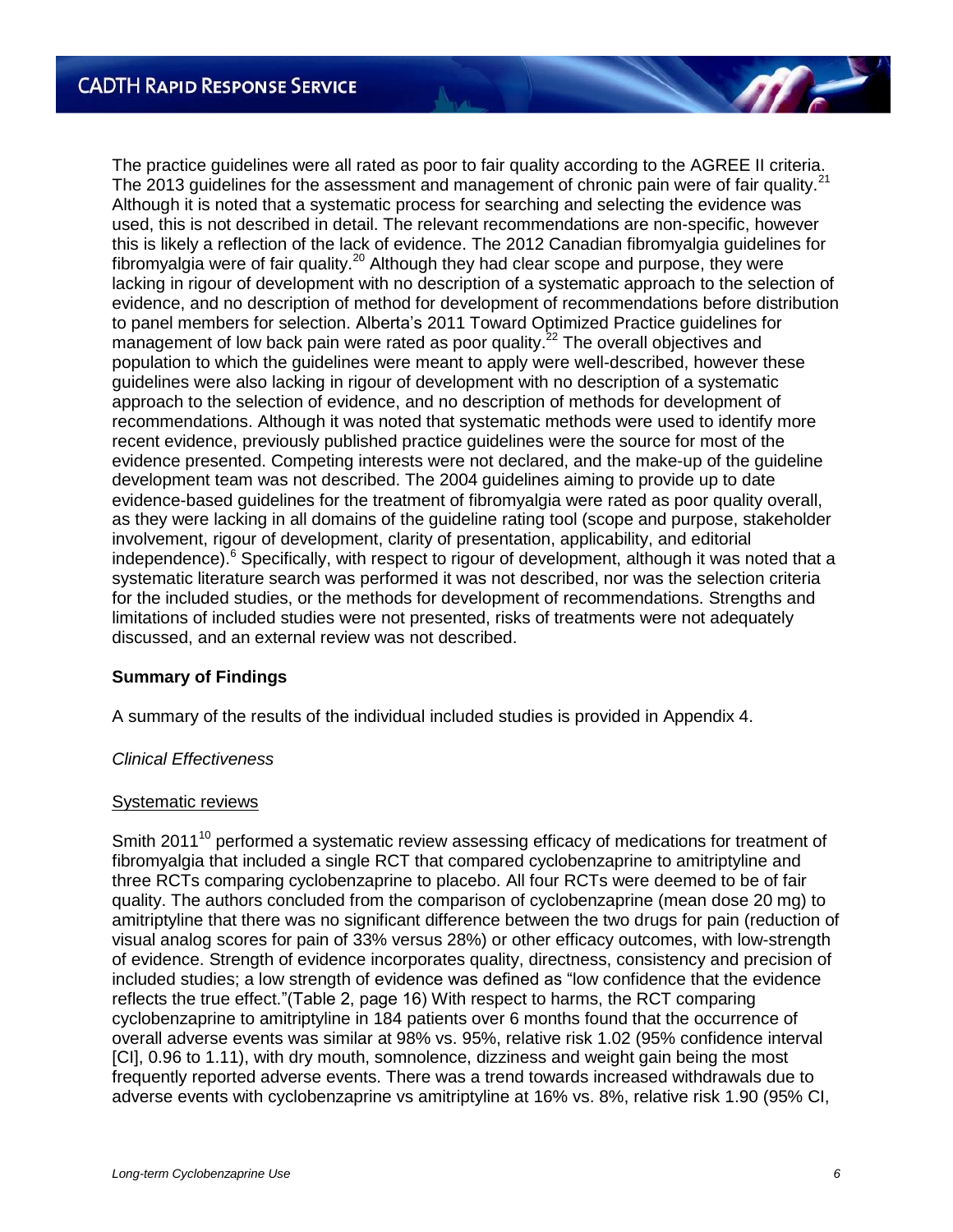The practice guidelines were all rated as poor to fair quality according to the AGREE II criteria. The 2013 guidelines for the assessment and management of chronic pain were of fair quality.<sup>21</sup> Although it is noted that a systematic process for searching and selecting the evidence was used, this is not described in detail. The relevant recommendations are non-specific, however this is likely a reflection of the lack of evidence. The 2012 Canadian fibromyalgia guidelines for fibromyalgia were of fair quality.<sup>20</sup> Although they had clear scope and purpose, they were lacking in rigour of development with no description of a systematic approach to the selection of evidence, and no description of method for development of recommendations before distribution to panel members for selection. Alberta"s 2011 Toward Optimized Practice guidelines for management of low back pain were rated as poor quality.<sup>22</sup> The overall objectives and population to which the guidelines were meant to apply were well-described, however these guidelines were also lacking in rigour of development with no description of a systematic approach to the selection of evidence, and no description of methods for development of recommendations. Although it was noted that systematic methods were used to identify more recent evidence, previously published practice guidelines were the source for most of the evidence presented. Competing interests were not declared, and the make-up of the guideline development team was not described. The 2004 guidelines aiming to provide up to date evidence-based guidelines for the treatment of fibromyalgia were rated as poor quality overall, as they were lacking in all domains of the guideline rating tool (scope and purpose, stakeholder involvement, rigour of development, clarity of presentation, applicability, and editorial independence). $6$  Specifically, with respect to rigour of development, although it was noted that a systematic literature search was performed it was not described, nor was the selection criteria for the included studies, or the methods for development of recommendations. Strengths and limitations of included studies were not presented, risks of treatments were not adequately discussed, and an external review was not described.

#### **Summary of Findings**

A summary of the results of the individual included studies is provided in Appendix 4.

#### *Clinical Effectiveness*

#### Systematic reviews

Smith 2011<sup>10</sup> performed a systematic review assessing efficacy of medications for treatment of fibromyalgia that included a single RCT that compared cyclobenzaprine to amitriptyline and three RCTs comparing cyclobenzaprine to placebo. All four RCTs were deemed to be of fair quality. The authors concluded from the comparison of cyclobenzaprine (mean dose 20 mg) to amitriptyline that there was no significant difference between the two drugs for pain (reduction of visual analog scores for pain of 33% versus 28%) or other efficacy outcomes, with low-strength of evidence. Strength of evidence incorporates quality, directness, consistency and precision of included studies; a low strength of evidence was defined as "low confidence that the evidence reflects the true effect."(Table 2, page 16) With respect to harms, the RCT comparing cyclobenzaprine to amitriptyline in 184 patients over 6 months found that the occurrence of overall adverse events was similar at 98% vs. 95%, relative risk 1.02 (95% confidence interval [CI], 0.96 to 1.11), with dry mouth, somnolence, dizziness and weight gain being the most frequently reported adverse events. There was a trend towards increased withdrawals due to adverse events with cyclobenzaprine vs amitriptyline at 16% vs. 8%, relative risk 1.90 (95% CI,

**AT**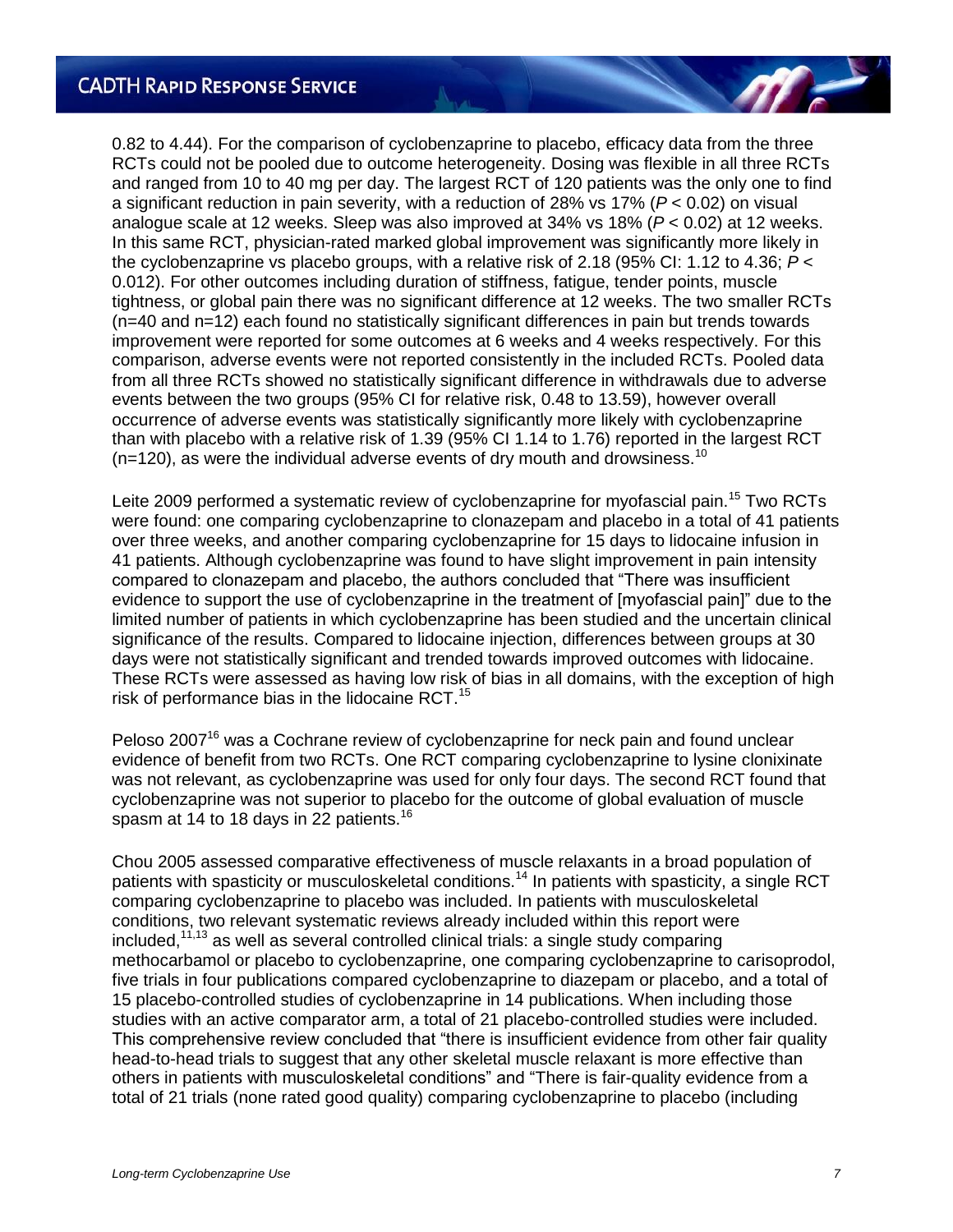0.82 to 4.44). For the comparison of cyclobenzaprine to placebo, efficacy data from the three RCTs could not be pooled due to outcome heterogeneity. Dosing was flexible in all three RCTs and ranged from 10 to 40 mg per day. The largest RCT of 120 patients was the only one to find a significant reduction in pain severity, with a reduction of 28% vs 17% (*P* < 0.02) on visual analogue scale at 12 weeks. Sleep was also improved at 34% vs 18% (*P* < 0.02) at 12 weeks. In this same RCT, physician-rated marked global improvement was significantly more likely in the cyclobenzaprine vs placebo groups, with a relative risk of 2.18 (95% CI: 1.12 to 4.36; *P* < 0.012). For other outcomes including duration of stiffness, fatigue, tender points, muscle tightness, or global pain there was no significant difference at 12 weeks. The two smaller RCTs (n=40 and n=12) each found no statistically significant differences in pain but trends towards improvement were reported for some outcomes at 6 weeks and 4 weeks respectively. For this comparison, adverse events were not reported consistently in the included RCTs. Pooled data from all three RCTs showed no statistically significant difference in withdrawals due to adverse events between the two groups (95% CI for relative risk, 0.48 to 13.59), however overall occurrence of adverse events was statistically significantly more likely with cyclobenzaprine than with placebo with a relative risk of 1.39 (95% CI 1.14 to 1.76) reported in the largest RCT  $(n=120)$ , as were the individual adverse events of dry mouth and drowsiness.<sup>10</sup>

Leite 2009 performed a systematic review of cyclobenzaprine for myofascial pain.<sup>15</sup> Two RCTs were found: one comparing cyclobenzaprine to clonazepam and placebo in a total of 41 patients over three weeks, and another comparing cyclobenzaprine for 15 days to lidocaine infusion in 41 patients. Although cyclobenzaprine was found to have slight improvement in pain intensity compared to clonazepam and placebo, the authors concluded that "There was insufficient evidence to support the use of cyclobenzaprine in the treatment of [myofascial pain]" due to the limited number of patients in which cyclobenzaprine has been studied and the uncertain clinical significance of the results. Compared to lidocaine injection, differences between groups at 30 days were not statistically significant and trended towards improved outcomes with lidocaine. These RCTs were assessed as having low risk of bias in all domains, with the exception of high risk of performance bias in the lidocaine RCT. $15$ 

Peloso 2007<sup>16</sup> was a Cochrane review of cyclobenzaprine for neck pain and found unclear evidence of benefit from two RCTs. One RCT comparing cyclobenzaprine to lysine clonixinate was not relevant, as cyclobenzaprine was used for only four days. The second RCT found that cyclobenzaprine was not superior to placebo for the outcome of global evaluation of muscle spasm at 14 to 18 days in 22 patients.<sup>16</sup>

Chou 2005 assessed comparative effectiveness of muscle relaxants in a broad population of patients with spasticity or musculoskeletal conditions.<sup>14</sup> In patients with spasticity, a single RCT comparing cyclobenzaprine to placebo was included. In patients with musculoskeletal conditions, two relevant systematic reviews already included within this report were  $included$ ,<sup>11,13</sup> as well as several controlled clinical trials: a single study comparing methocarbamol or placebo to cyclobenzaprine, one comparing cyclobenzaprine to carisoprodol, five trials in four publications compared cyclobenzaprine to diazepam or placebo, and a total of 15 placebo-controlled studies of cyclobenzaprine in 14 publications. When including those studies with an active comparator arm, a total of 21 placebo-controlled studies were included. This comprehensive review concluded that "there is insufficient evidence from other fair quality head-to-head trials to suggest that any other skeletal muscle relaxant is more effective than others in patients with musculoskeletal conditions" and "There is fair-quality evidence from a total of 21 trials (none rated good quality) comparing cyclobenzaprine to placebo (including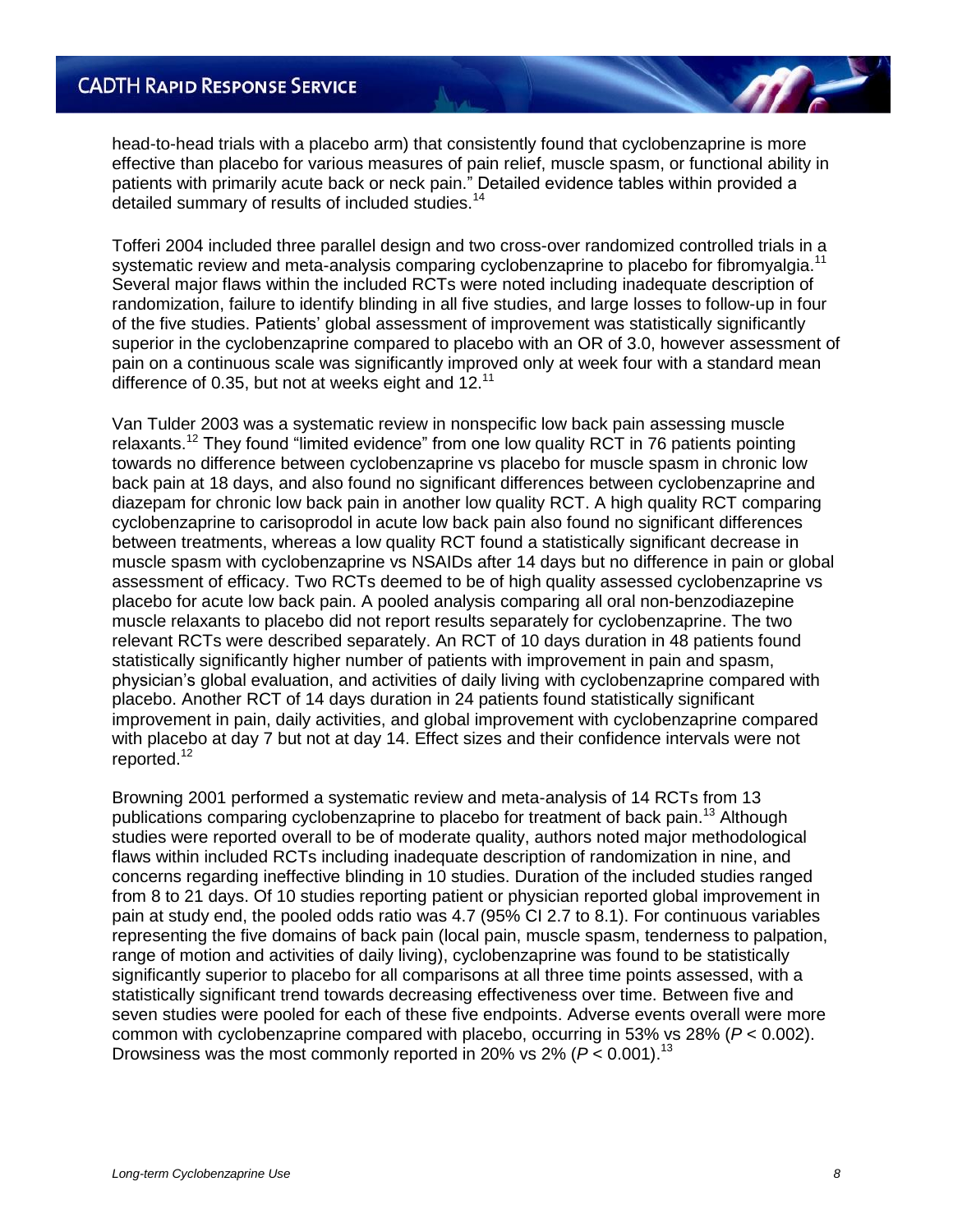head-to-head trials with a placebo arm) that consistently found that cyclobenzaprine is more effective than placebo for various measures of pain relief, muscle spasm, or functional ability in patients with primarily acute back or neck pain." Detailed evidence tables within provided a detailed summary of results of included studies.<sup>14</sup>

Tofferi 2004 included three parallel design and two cross-over randomized controlled trials in a systematic review and meta-analysis comparing cyclobenzaprine to placebo for fibromyalgia.<sup>11</sup> Several major flaws within the included RCTs were noted including inadequate description of randomization, failure to identify blinding in all five studies, and large losses to follow-up in four of the five studies. Patients" global assessment of improvement was statistically significantly superior in the cyclobenzaprine compared to placebo with an OR of 3.0, however assessment of pain on a continuous scale was significantly improved only at week four with a standard mean difference of 0.35, but not at weeks eight and 12. $^{11}$ 

Van Tulder 2003 was a systematic review in nonspecific low back pain assessing muscle relaxants.<sup>12</sup> They found "limited evidence" from one low quality RCT in 76 patients pointing towards no difference between cyclobenzaprine vs placebo for muscle spasm in chronic low back pain at 18 days, and also found no significant differences between cyclobenzaprine and diazepam for chronic low back pain in another low quality RCT. A high quality RCT comparing cyclobenzaprine to carisoprodol in acute low back pain also found no significant differences between treatments, whereas a low quality RCT found a statistically significant decrease in muscle spasm with cyclobenzaprine vs NSAIDs after 14 days but no difference in pain or global assessment of efficacy. Two RCTs deemed to be of high quality assessed cyclobenzaprine vs placebo for acute low back pain. A pooled analysis comparing all oral non-benzodiazepine muscle relaxants to placebo did not report results separately for cyclobenzaprine. The two relevant RCTs were described separately. An RCT of 10 days duration in 48 patients found statistically significantly higher number of patients with improvement in pain and spasm, physician"s global evaluation, and activities of daily living with cyclobenzaprine compared with placebo. Another RCT of 14 days duration in 24 patients found statistically significant improvement in pain, daily activities, and global improvement with cyclobenzaprine compared with placebo at day 7 but not at day 14. Effect sizes and their confidence intervals were not reported.<sup>12</sup>

Browning 2001 performed a systematic review and meta-analysis of 14 RCTs from 13 publications comparing cyclobenzaprine to placebo for treatment of back pain.<sup>13</sup> Although studies were reported overall to be of moderate quality, authors noted major methodological flaws within included RCTs including inadequate description of randomization in nine, and concerns regarding ineffective blinding in 10 studies. Duration of the included studies ranged from 8 to 21 days. Of 10 studies reporting patient or physician reported global improvement in pain at study end, the pooled odds ratio was 4.7 (95% CI 2.7 to 8.1). For continuous variables representing the five domains of back pain (local pain, muscle spasm, tenderness to palpation, range of motion and activities of daily living), cyclobenzaprine was found to be statistically significantly superior to placebo for all comparisons at all three time points assessed, with a statistically significant trend towards decreasing effectiveness over time. Between five and seven studies were pooled for each of these five endpoints. Adverse events overall were more common with cyclobenzaprine compared with placebo, occurring in 53% vs 28% (*P* < 0.002). Drowsiness was the most commonly reported in 20% vs  $2\%$  ( $P < 0.001$ ).<sup>13</sup>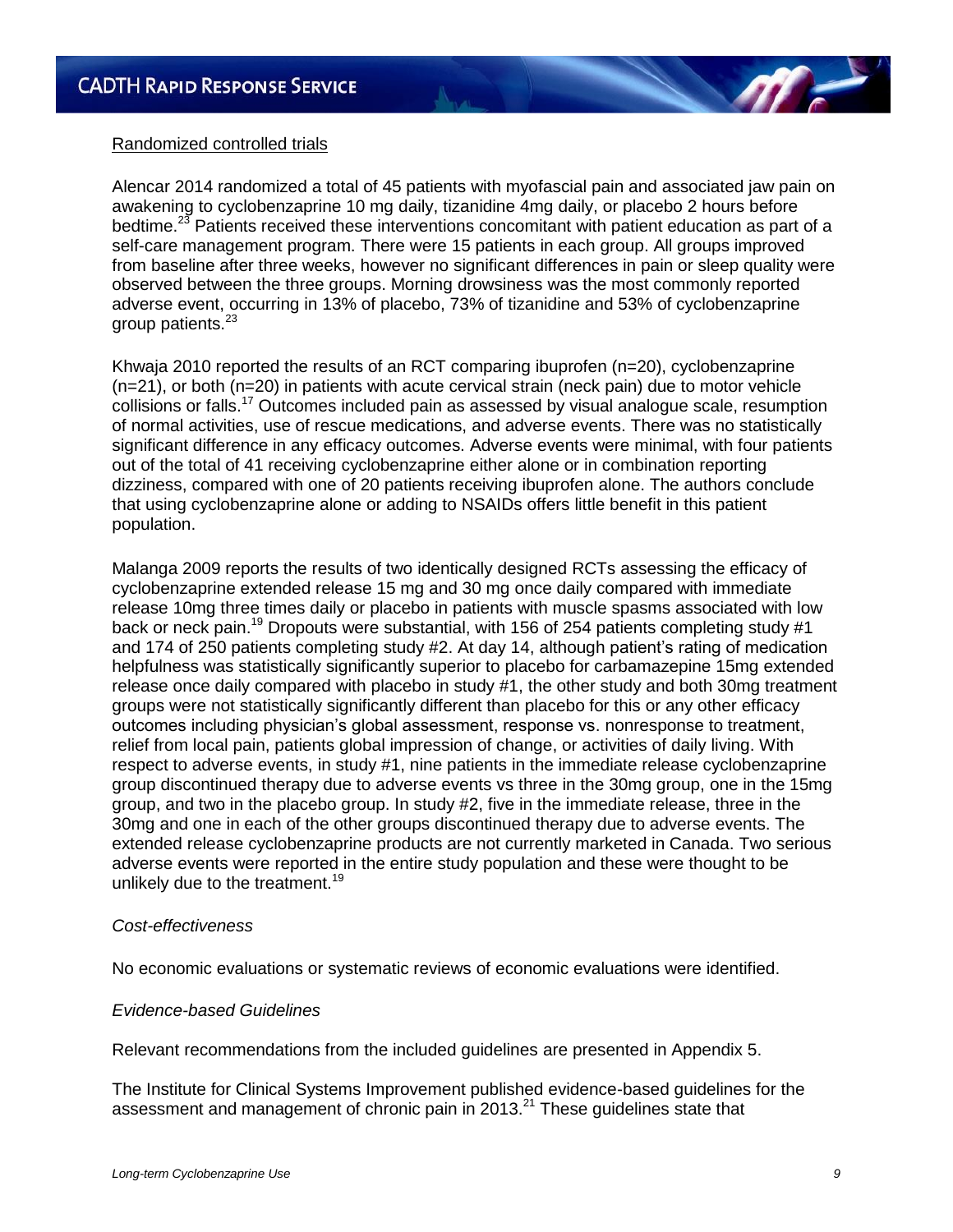

#### Randomized controlled trials

Alencar 2014 randomized a total of 45 patients with myofascial pain and associated jaw pain on awakening to cyclobenzaprine 10 mg daily, tizanidine 4mg daily, or placebo 2 hours before bedtime.<sup>23</sup> Patients received these interventions concomitant with patient education as part of a self-care management program. There were 15 patients in each group. All groups improved from baseline after three weeks, however no significant differences in pain or sleep quality were observed between the three groups. Morning drowsiness was the most commonly reported adverse event, occurring in 13% of placebo, 73% of tizanidine and 53% of cyclobenzaprine group patients.<sup>23</sup>

Khwaja 2010 reported the results of an RCT comparing ibuprofen (n=20), cyclobenzaprine (n=21), or both (n=20) in patients with acute cervical strain (neck pain) due to motor vehicle collisions or falls.<sup>17</sup> Outcomes included pain as assessed by visual analogue scale, resumption of normal activities, use of rescue medications, and adverse events. There was no statistically significant difference in any efficacy outcomes. Adverse events were minimal, with four patients out of the total of 41 receiving cyclobenzaprine either alone or in combination reporting dizziness, compared with one of 20 patients receiving ibuprofen alone. The authors conclude that using cyclobenzaprine alone or adding to NSAIDs offers little benefit in this patient population.

Malanga 2009 reports the results of two identically designed RCTs assessing the efficacy of cyclobenzaprine extended release 15 mg and 30 mg once daily compared with immediate release 10mg three times daily or placebo in patients with muscle spasms associated with low back or neck pain.<sup>19</sup> Dropouts were substantial, with 156 of 254 patients completing study #1 and 174 of 250 patients completing study #2. At day 14, although patient's rating of medication helpfulness was statistically significantly superior to placebo for carbamazepine 15mg extended release once daily compared with placebo in study #1, the other study and both 30mg treatment groups were not statistically significantly different than placebo for this or any other efficacy outcomes including physician"s global assessment, response vs. nonresponse to treatment, relief from local pain, patients global impression of change, or activities of daily living. With respect to adverse events, in study #1, nine patients in the immediate release cyclobenzaprine group discontinued therapy due to adverse events vs three in the 30mg group, one in the 15mg group, and two in the placebo group. In study #2, five in the immediate release, three in the 30mg and one in each of the other groups discontinued therapy due to adverse events. The extended release cyclobenzaprine products are not currently marketed in Canada. Two serious adverse events were reported in the entire study population and these were thought to be unlikely due to the treatment.<sup>19</sup>

#### *Cost-effectiveness*

No economic evaluations or systematic reviews of economic evaluations were identified.

#### *Evidence-based Guidelines*

Relevant recommendations from the included guidelines are presented in Appendix 5.

The Institute for Clinical Systems Improvement published evidence-based guidelines for the assessment and management of chronic pain in 2013. $^{21}$  These guidelines state that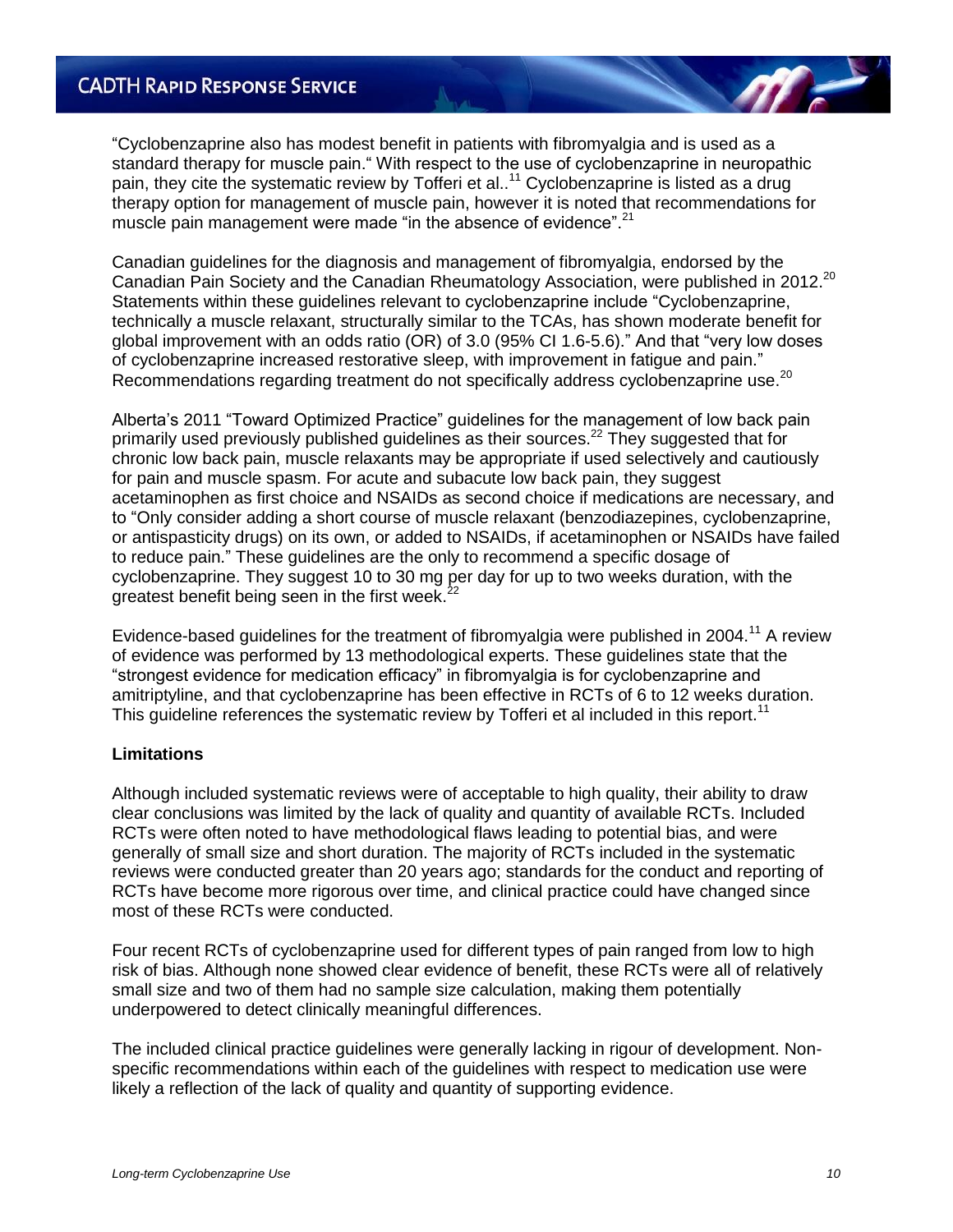"Cyclobenzaprine also has modest benefit in patients with fibromyalgia and is used as a standard therapy for muscle pain." With respect to the use of cyclobenzaprine in neuropathic pain, they cite the systematic review by Tofferi et al..<sup>11</sup> Cyclobenzaprine is listed as a drug therapy option for management of muscle pain, however it is noted that recommendations for muscle pain management were made "in the absence of evidence".<sup>21</sup>

Canadian guidelines for the diagnosis and management of fibromyalgia, endorsed by the Canadian Pain Society and the Canadian Rheumatology Association, were published in 2012.<sup>20</sup> Statements within these guidelines relevant to cyclobenzaprine include "Cyclobenzaprine, technically a muscle relaxant, structurally similar to the TCAs, has shown moderate benefit for global improvement with an odds ratio (OR) of 3.0 (95% CI 1.6-5.6)." And that "very low doses of cyclobenzaprine increased restorative sleep, with improvement in fatigue and pain." Recommendations regarding treatment do not specifically address cyclobenzaprine use.<sup>20</sup>

Alberta"s 2011 "Toward Optimized Practice" guidelines for the management of low back pain primarily used previously published guidelines as their sources.<sup>22</sup> They suggested that for chronic low back pain, muscle relaxants may be appropriate if used selectively and cautiously for pain and muscle spasm. For acute and subacute low back pain, they suggest acetaminophen as first choice and NSAIDs as second choice if medications are necessary, and to "Only consider adding a short course of muscle relaxant (benzodiazepines, cyclobenzaprine, or antispasticity drugs) on its own, or added to NSAIDs, if acetaminophen or NSAIDs have failed to reduce pain." These guidelines are the only to recommend a specific dosage of cyclobenzaprine. They suggest 10 to 30 mg per day for up to two weeks duration, with the greatest benefit being seen in the first week. $^{22}$ 

Evidence-based guidelines for the treatment of fibromvalgia were published in 2004.<sup>11</sup> A review of evidence was performed by 13 methodological experts. These guidelines state that the "strongest evidence for medication efficacy" in fibromyalgia is for cyclobenzaprine and amitriptyline, and that cyclobenzaprine has been effective in RCTs of 6 to 12 weeks duration. This guideline references the systematic review by Tofferi et al included in this report.<sup>11</sup>

#### **Limitations**

Although included systematic reviews were of acceptable to high quality, their ability to draw clear conclusions was limited by the lack of quality and quantity of available RCTs. Included RCTs were often noted to have methodological flaws leading to potential bias, and were generally of small size and short duration. The majority of RCTs included in the systematic reviews were conducted greater than 20 years ago; standards for the conduct and reporting of RCTs have become more rigorous over time, and clinical practice could have changed since most of these RCTs were conducted.

Four recent RCTs of cyclobenzaprine used for different types of pain ranged from low to high risk of bias. Although none showed clear evidence of benefit, these RCTs were all of relatively small size and two of them had no sample size calculation, making them potentially underpowered to detect clinically meaningful differences.

The included clinical practice guidelines were generally lacking in rigour of development. Nonspecific recommendations within each of the guidelines with respect to medication use were likely a reflection of the lack of quality and quantity of supporting evidence.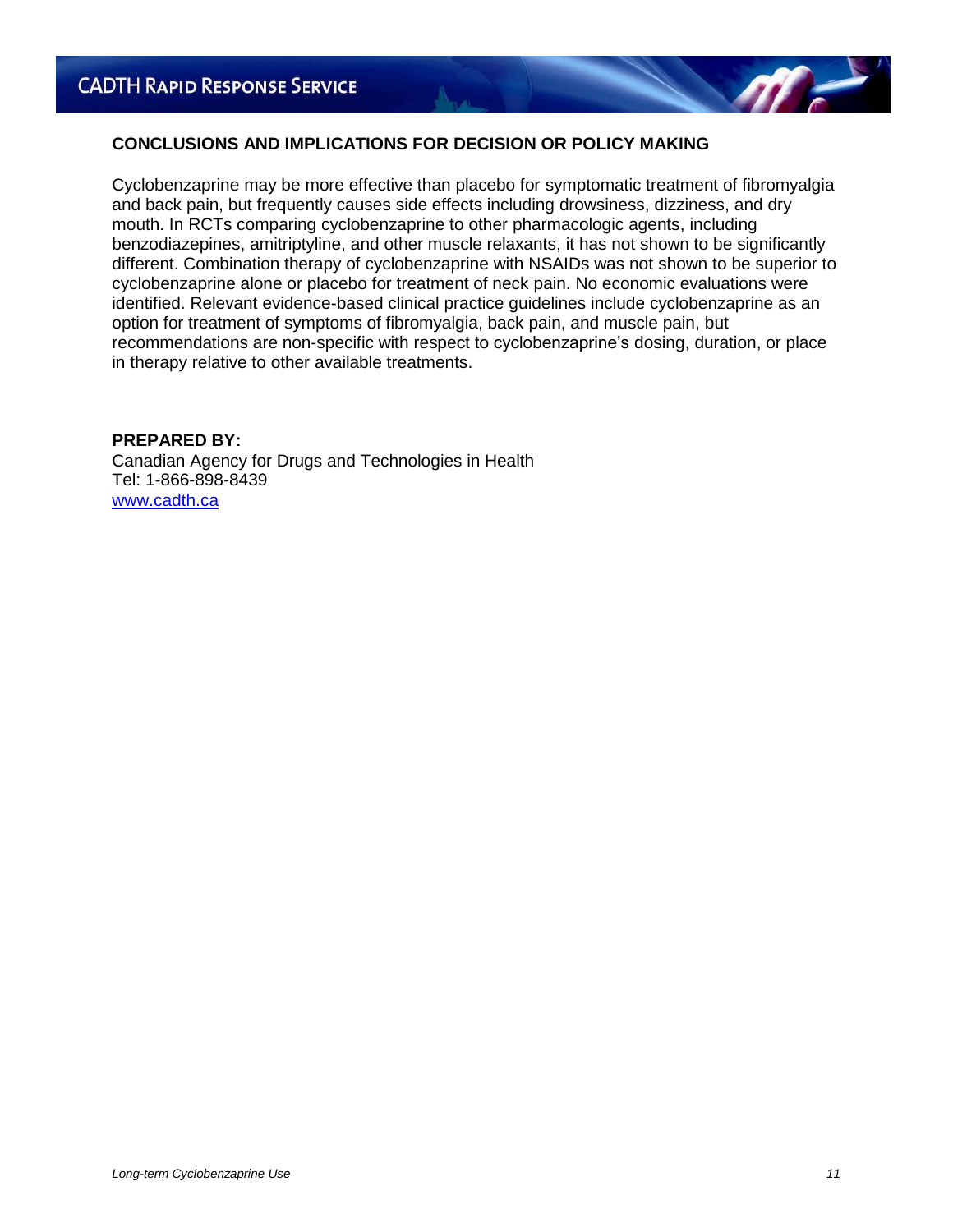#### **CONCLUSIONS AND IMPLICATIONS FOR DECISION OR POLICY MAKING**

Cyclobenzaprine may be more effective than placebo for symptomatic treatment of fibromyalgia and back pain, but frequently causes side effects including drowsiness, dizziness, and dry mouth. In RCTs comparing cyclobenzaprine to other pharmacologic agents, including benzodiazepines, amitriptyline, and other muscle relaxants, it has not shown to be significantly different. Combination therapy of cyclobenzaprine with NSAIDs was not shown to be superior to cyclobenzaprine alone or placebo for treatment of neck pain. No economic evaluations were identified. Relevant evidence-based clinical practice guidelines include cyclobenzaprine as an option for treatment of symptoms of fibromyalgia, back pain, and muscle pain, but recommendations are non-specific with respect to cyclobenzaprine's dosing, duration, or place in therapy relative to other available treatments.

**PREPARED BY:** 

Canadian Agency for Drugs and Technologies in Health Tel: 1-866-898-8439 [www.cadth.ca](http://www.cadth.ca/)

**ATT**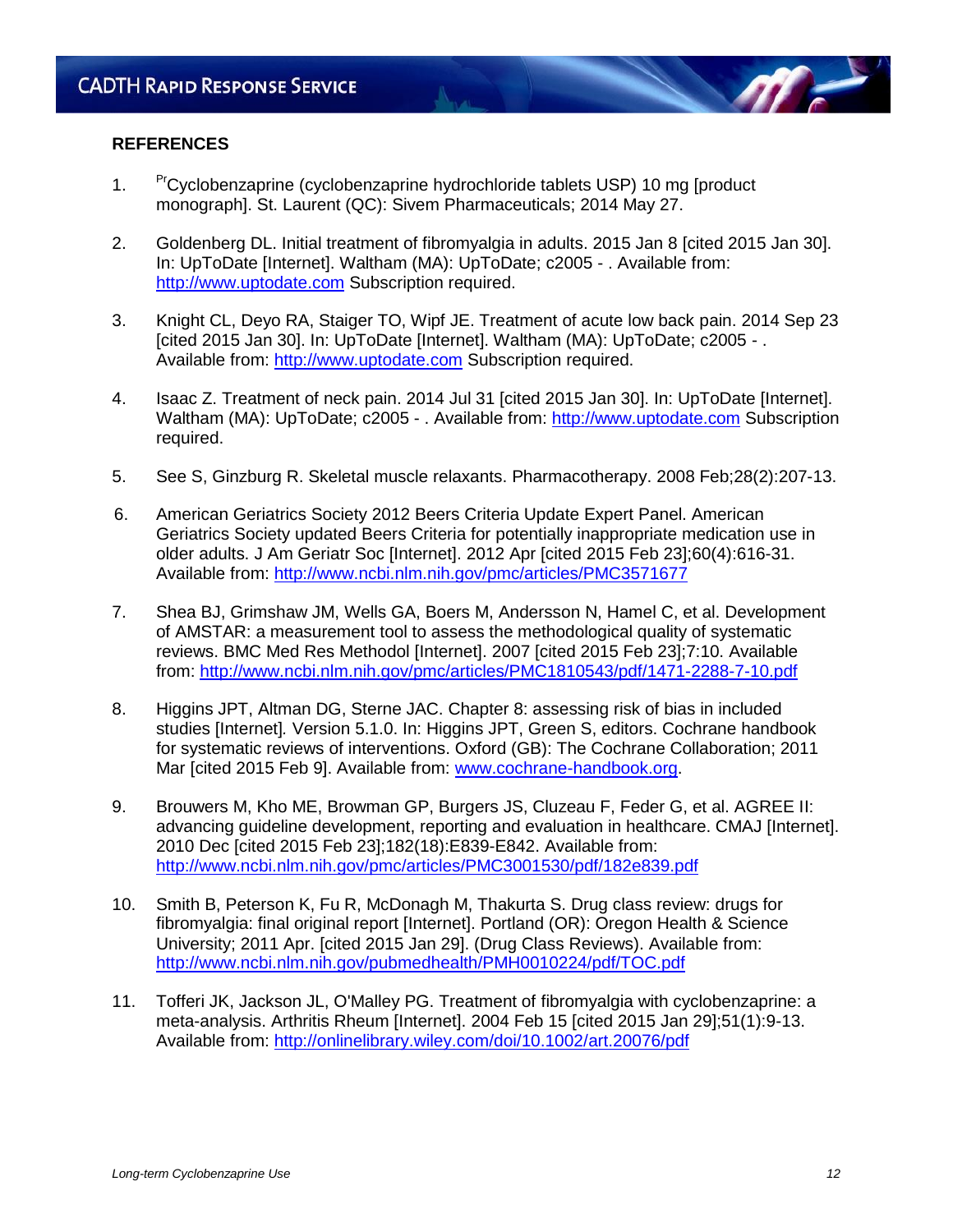#### **REFERENCES**

- 1. PrCyclobenzaprine (cyclobenzaprine hydrochloride tablets USP) 10 mg [product] monograph]. St. Laurent (QC): Sivem Pharmaceuticals; 2014 May 27.
- 2. Goldenberg DL. Initial treatment of fibromyalgia in adults. 2015 Jan 8 [cited 2015 Jan 30]. In: UpToDate [Internet]. Waltham (MA): UpToDate; c2005 - . Available from: [http://www.uptodate.com](http://www.uptodate.com/) Subscription required.
- 3. Knight CL, Deyo RA, Staiger TO, Wipf JE. Treatment of acute low back pain. 2014 Sep 23 [cited 2015 Jan 30]. In: UpToDate [Internet]. Waltham (MA): UpToDate; c2005 - . Available from: [http://www.uptodate.com](http://www.uptodate.com/) Subscription required.
- 4. Isaac Z. Treatment of neck pain. 2014 Jul 31 [cited 2015 Jan 30]. In: UpToDate [Internet]. Waltham (MA): UpToDate; c2005 - . Available from: [http://www.uptodate.com](http://www.uptodate.com/) Subscription required.
- 5. See S, Ginzburg R. Skeletal muscle relaxants. Pharmacotherapy. 2008 Feb;28(2):207-13.
- 6. American Geriatrics Society 2012 Beers Criteria Update Expert Panel. American Geriatrics Society updated Beers Criteria for potentially inappropriate medication use in older adults. J Am Geriatr Soc [Internet]. 2012 Apr [cited 2015 Feb 23];60(4):616-31. Available from:<http://www.ncbi.nlm.nih.gov/pmc/articles/PMC3571677>
- 7. Shea BJ, Grimshaw JM, Wells GA, Boers M, Andersson N, Hamel C, et al. Development of AMSTAR: a measurement tool to assess the methodological quality of systematic reviews. BMC Med Res Methodol [Internet]. 2007 [cited 2015 Feb 23];7:10. Available from:<http://www.ncbi.nlm.nih.gov/pmc/articles/PMC1810543/pdf/1471-2288-7-10.pdf>
- 8. Higgins JPT, Altman DG, Sterne JAC. Chapter 8: assessing risk of bias in included studies [Internet]*.* Version 5.1.0. In: Higgins JPT, Green S, editors. Cochrane handbook for systematic reviews of interventions. Oxford (GB): The Cochrane Collaboration; 2011 Mar [cited 2015 Feb 9]. Available from: [www.cochrane-handbook.org.](http://www.cochrane-handbook.org/)
- 9. Brouwers M, Kho ME, Browman GP, Burgers JS, Cluzeau F, Feder G, et al. AGREE II: advancing guideline development, reporting and evaluation in healthcare. CMAJ [Internet]. 2010 Dec [cited 2015 Feb 23];182(18):E839-E842. Available from: <http://www.ncbi.nlm.nih.gov/pmc/articles/PMC3001530/pdf/182e839.pdf>
- 10. Smith B, Peterson K, Fu R, McDonagh M, Thakurta S. Drug class review: drugs for fibromyalgia: final original report [Internet]. Portland (OR): Oregon Health & Science University; 2011 Apr. [cited 2015 Jan 29]. (Drug Class Reviews). Available from: <http://www.ncbi.nlm.nih.gov/pubmedhealth/PMH0010224/pdf/TOC.pdf>
- 11. Tofferi JK, Jackson JL, O'Malley PG. Treatment of fibromyalgia with cyclobenzaprine: a meta-analysis. Arthritis Rheum [Internet]. 2004 Feb 15 [cited 2015 Jan 29];51(1):9-13. Available from:<http://onlinelibrary.wiley.com/doi/10.1002/art.20076/pdf>

**M**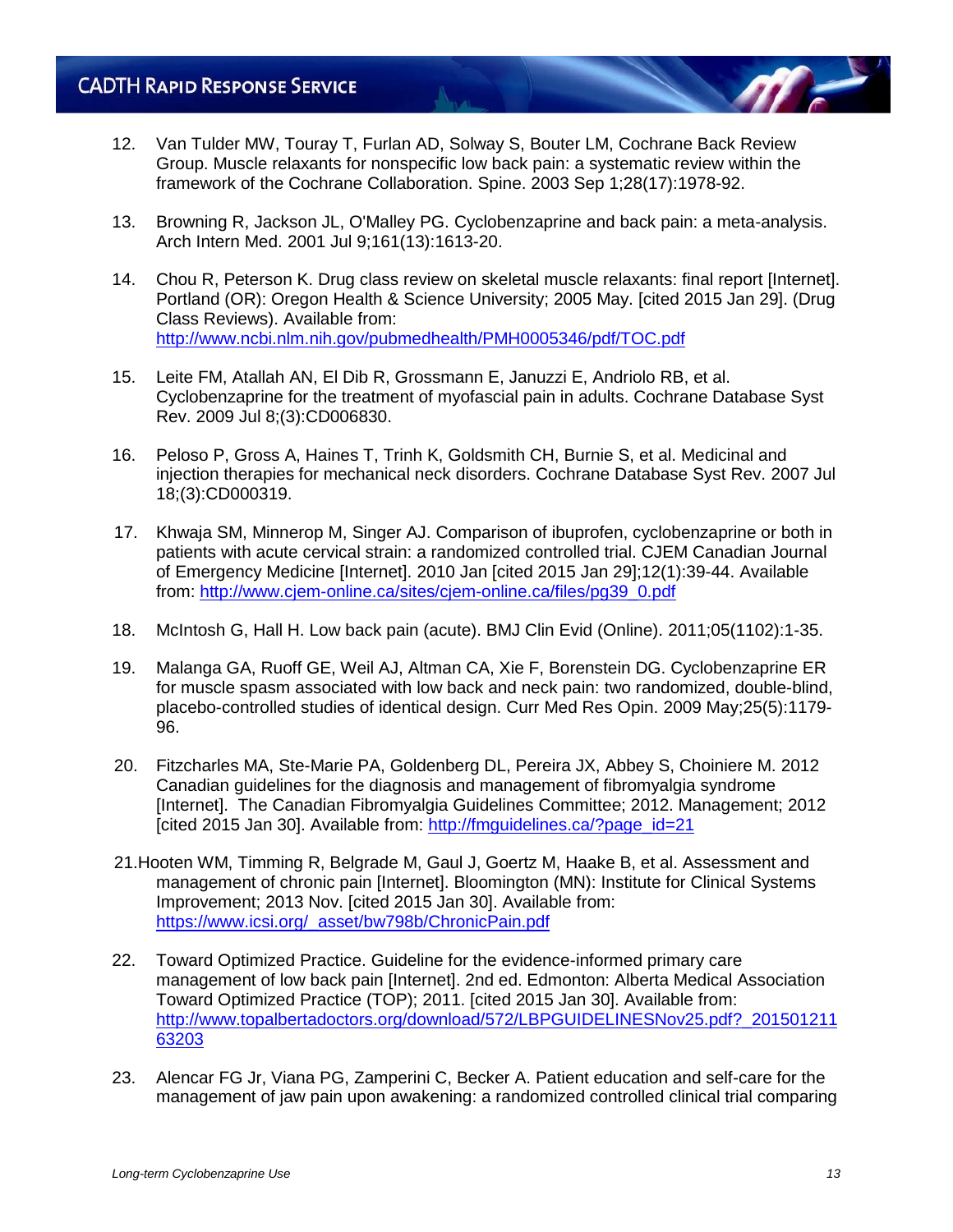- 12. Van Tulder MW, Touray T, Furlan AD, Solway S, Bouter LM, Cochrane Back Review Group. Muscle relaxants for nonspecific low back pain: a systematic review within the framework of the Cochrane Collaboration. Spine. 2003 Sep 1;28(17):1978-92.
- 13. Browning R, Jackson JL, O'Malley PG. Cyclobenzaprine and back pain: a meta-analysis. Arch Intern Med. 2001 Jul 9;161(13):1613-20.
- 14. Chou R, Peterson K. Drug class review on skeletal muscle relaxants: final report [Internet]. Portland (OR): Oregon Health & Science University; 2005 May. [cited 2015 Jan 29]. (Drug Class Reviews). Available from: <http://www.ncbi.nlm.nih.gov/pubmedhealth/PMH0005346/pdf/TOC.pdf>
- 15. Leite FM, Atallah AN, El Dib R, Grossmann E, Januzzi E, Andriolo RB, et al. Cyclobenzaprine for the treatment of myofascial pain in adults. Cochrane Database Syst Rev. 2009 Jul 8;(3):CD006830.
- 16. Peloso P, Gross A, Haines T, Trinh K, Goldsmith CH, Burnie S, et al. Medicinal and injection therapies for mechanical neck disorders. Cochrane Database Syst Rev. 2007 Jul 18;(3):CD000319.
- 17. Khwaja SM, Minnerop M, Singer AJ. Comparison of ibuprofen, cyclobenzaprine or both in patients with acute cervical strain: a randomized controlled trial. CJEM Canadian Journal of Emergency Medicine [Internet]. 2010 Jan [cited 2015 Jan 29];12(1):39-44. Available from: [http://www.cjem-online.ca/sites/cjem-online.ca/files/pg39\\_0.pdf](http://www.cjem-online.ca/sites/cjem-online.ca/files/pg39_0.pdf)
- 18. McIntosh G, Hall H. Low back pain (acute). BMJ Clin Evid (Online). 2011;05(1102):1-35.
- 19. Malanga GA, Ruoff GE, Weil AJ, Altman CA, Xie F, Borenstein DG. Cyclobenzaprine ER for muscle spasm associated with low back and neck pain: two randomized, double-blind, placebo-controlled studies of identical design. Curr Med Res Opin. 2009 May;25(5):1179- 96.
- 20. Fitzcharles MA, Ste-Marie PA, Goldenberg DL, Pereira JX, Abbey S, Choiniere M. 2012 Canadian guidelines for the diagnosis and management of fibromyalgia syndrome [Internet]. The Canadian Fibromyalgia Guidelines Committee; 2012. Management; 2012 [cited 2015 Jan 30]. Available from: [http://fmguidelines.ca/?page\\_id=21](http://fmguidelines.ca/?page_id=21)
- 21.Hooten WM, Timming R, Belgrade M, Gaul J, Goertz M, Haake B, et al. Assessment and management of chronic pain [Internet]. Bloomington (MN): Institute for Clinical Systems Improvement; 2013 Nov. [cited 2015 Jan 30]. Available from: [https://www.icsi.org/\\_asset/bw798b/ChronicPain.pdf](https://www.icsi.org/_asset/bw798b/ChronicPain.pdf)
- 22. Toward Optimized Practice. Guideline for the evidence-informed primary care management of low back pain [Internet]. 2nd ed. Edmonton: Alberta Medical Association Toward Optimized Practice (TOP); 2011. [cited 2015 Jan 30]. Available from: [http://www.topalbertadoctors.org/download/572/LBPGUIDELINESNov25.pdf?\\_201501211](http://www.topalbertadoctors.org/download/572/LBPGUIDELINESNov25.pdf?_20150121163203) [63203](http://www.topalbertadoctors.org/download/572/LBPGUIDELINESNov25.pdf?_20150121163203)
- 23. Alencar FG Jr, Viana PG, Zamperini C, Becker A. Patient education and self-care for the management of jaw pain upon awakening: a randomized controlled clinical trial comparing

**M**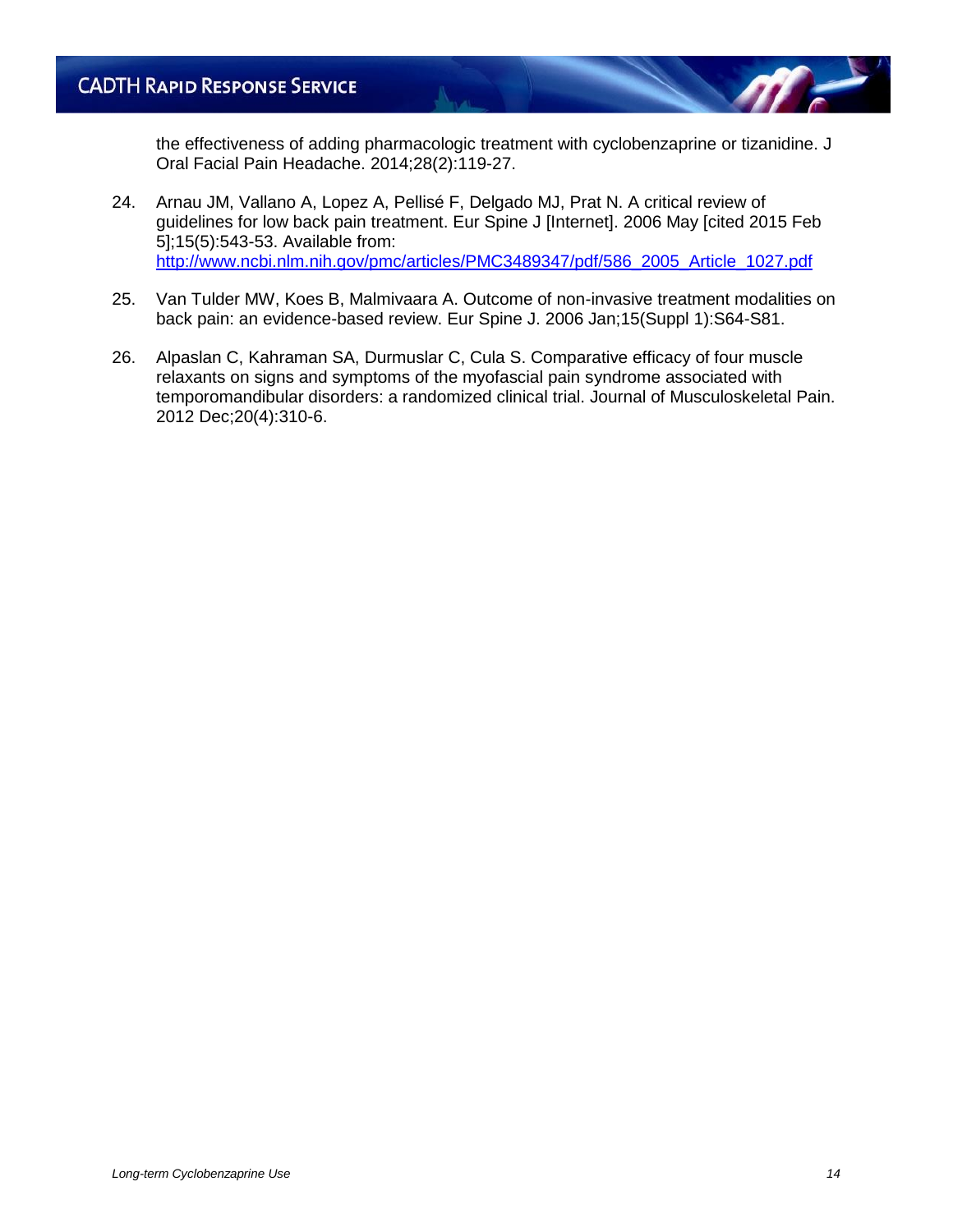the effectiveness of adding pharmacologic treatment with cyclobenzaprine or tizanidine. J Oral Facial Pain Headache. 2014;28(2):119-27.

- 24. Arnau JM, Vallano A, Lopez A, Pellisé F, Delgado MJ, Prat N. A critical review of guidelines for low back pain treatment. Eur Spine J [Internet]. 2006 May [cited 2015 Feb 5];15(5):543-53. Available from: [http://www.ncbi.nlm.nih.gov/pmc/articles/PMC3489347/pdf/586\\_2005\\_Article\\_1027.pdf](http://www.ncbi.nlm.nih.gov/pmc/articles/PMC3489347/pdf/586_2005_Article_1027.pdf)
- 25. Van Tulder MW, Koes B, Malmivaara A. Outcome of non-invasive treatment modalities on back pain: an evidence-based review. Eur Spine J. 2006 Jan;15(Suppl 1):S64-S81.
- 26. Alpaslan C, Kahraman SA, Durmuslar C, Cula S. Comparative efficacy of four muscle relaxants on signs and symptoms of the myofascial pain syndrome associated with temporomandibular disorders: a randomized clinical trial. Journal of Musculoskeletal Pain. 2012 Dec;20(4):310-6.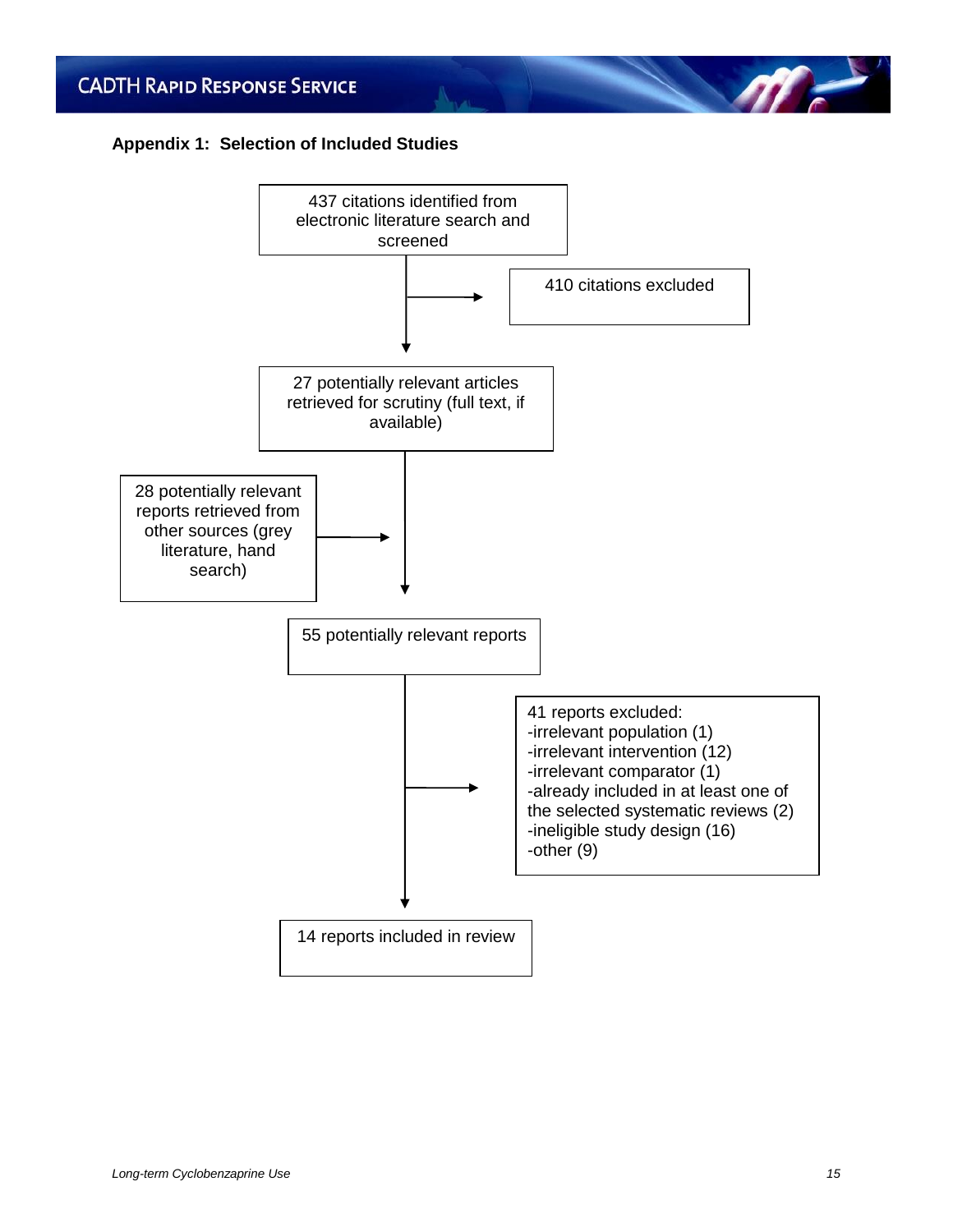#### **Appendix 1: Selection of Included Studies**



**ME**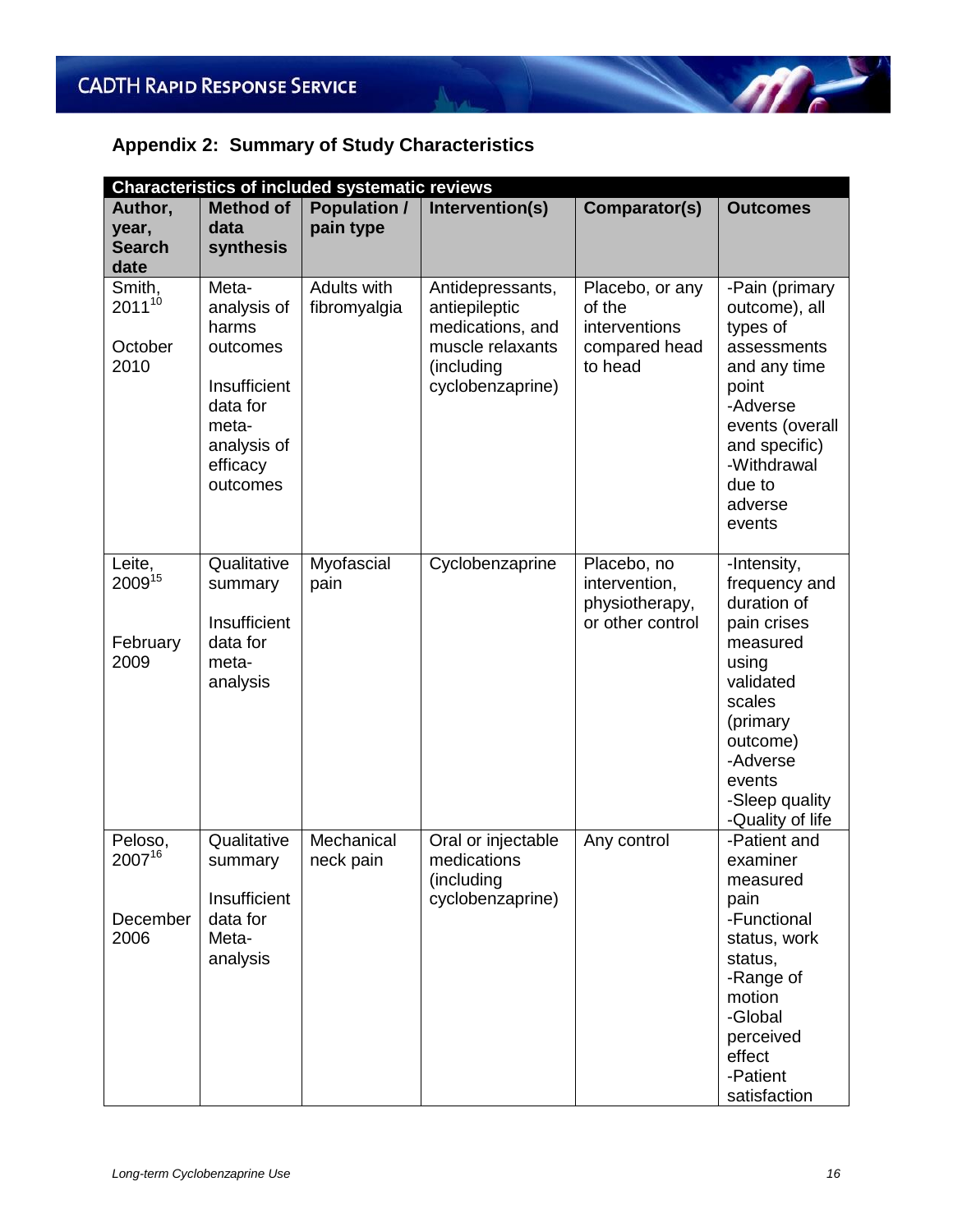### **Appendix 2: Summary of Study Characteristics**

|                                           | <b>Characteristics of included systematic reviews</b>                                                                 |                                  |                                                                                                             |                                                                        |                                                                                                                                                                                            |  |  |
|-------------------------------------------|-----------------------------------------------------------------------------------------------------------------------|----------------------------------|-------------------------------------------------------------------------------------------------------------|------------------------------------------------------------------------|--------------------------------------------------------------------------------------------------------------------------------------------------------------------------------------------|--|--|
| Author,<br>year,<br><b>Search</b><br>date | <b>Method of</b><br>data<br>synthesis                                                                                 | <b>Population /</b><br>pain type | Intervention(s)                                                                                             | Comparator(s)                                                          | <b>Outcomes</b>                                                                                                                                                                            |  |  |
| Smith,<br>201110<br>October<br>2010       | Meta-<br>analysis of<br>harms<br>outcomes<br>Insufficient<br>data for<br>meta-<br>analysis of<br>efficacy<br>outcomes | Adults with<br>fibromyalgia      | Antidepressants,<br>antiepileptic<br>medications, and<br>muscle relaxants<br>(including<br>cyclobenzaprine) | Placebo, or any<br>of the<br>interventions<br>compared head<br>to head | -Pain (primary<br>outcome), all<br>types of<br>assessments<br>and any time<br>point<br>-Adverse<br>events (overall<br>and specific)<br>-Withdrawal<br>due to<br>adverse<br>events          |  |  |
| Leite,<br>200915<br>February<br>2009      | Qualitative<br>summary<br>Insufficient<br>data for<br>meta-<br>analysis                                               | Myofascial<br>pain               | Cyclobenzaprine                                                                                             | Placebo, no<br>intervention,<br>physiotherapy,<br>or other control     | -Intensity,<br>frequency and<br>duration of<br>pain crises<br>measured<br>using<br>validated<br>scales<br>(primary<br>outcome)<br>-Adverse<br>events<br>-Sleep quality<br>-Quality of life |  |  |
| Peloso,<br>200716<br>December<br>2006     | Qualitative<br>summary<br>Insufficient<br>data for<br>Meta-<br>analysis                                               | Mechanical<br>neck pain          | Oral or injectable<br>medications<br>(including<br>cyclobenzaprine)                                         | Any control                                                            | -Patient and<br>examiner<br>measured<br>pain<br>-Functional<br>status, work<br>status,<br>-Range of<br>motion<br>-Global<br>perceived<br>effect<br>-Patient<br>satisfaction                |  |  |

 $\sqrt{m}$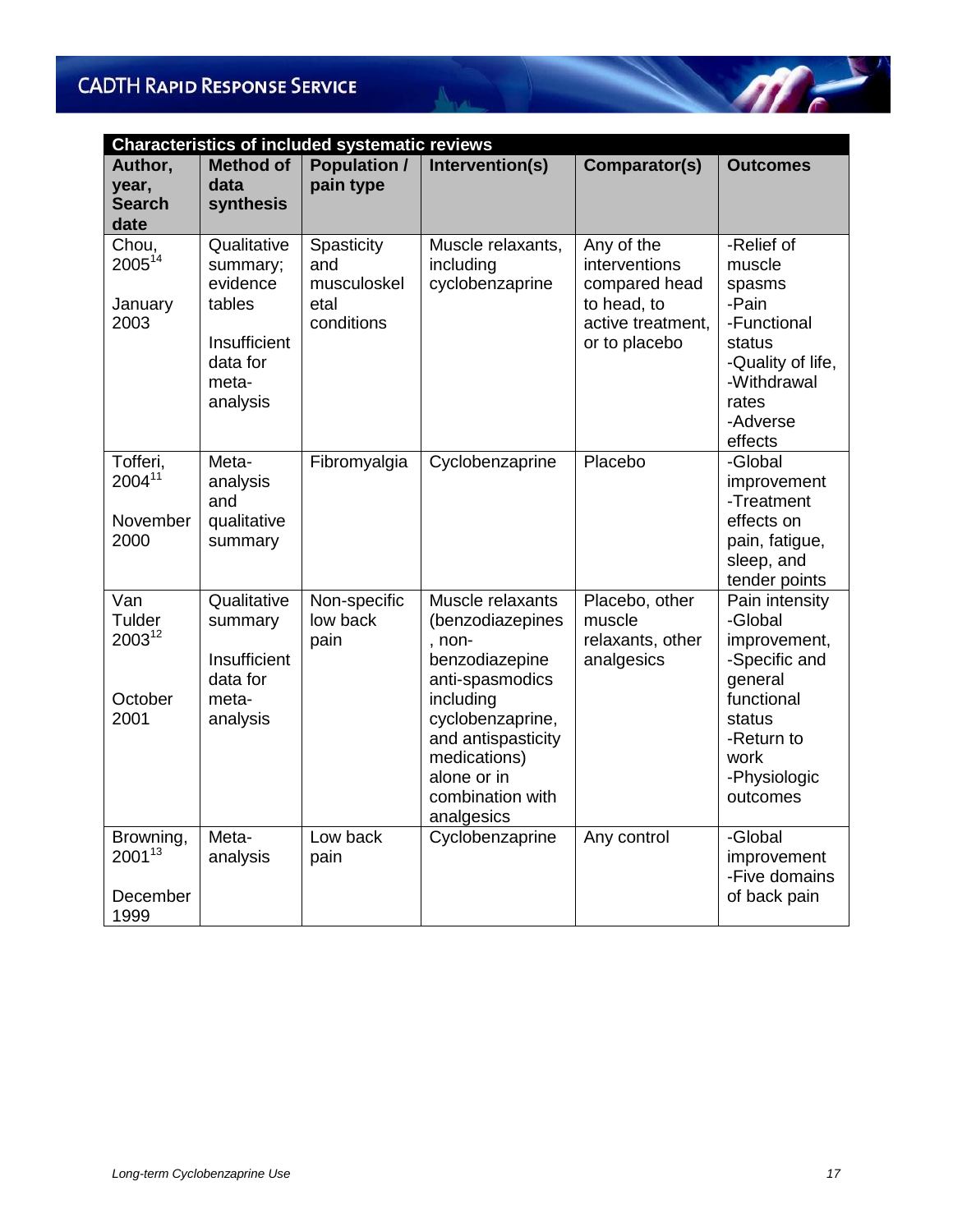|                                             | <b>Characteristics of included systematic reviews</b>                                          |                                                        |                                                                                                                                                                                                             |                                                                                                   |                                                                                                                                                 |  |  |
|---------------------------------------------|------------------------------------------------------------------------------------------------|--------------------------------------------------------|-------------------------------------------------------------------------------------------------------------------------------------------------------------------------------------------------------------|---------------------------------------------------------------------------------------------------|-------------------------------------------------------------------------------------------------------------------------------------------------|--|--|
| Author,<br>year,<br><b>Search</b><br>date   | <b>Method of</b><br>data<br>synthesis                                                          | <b>Population /</b><br>pain type                       | Intervention(s)                                                                                                                                                                                             | Comparator(s)                                                                                     | <b>Outcomes</b>                                                                                                                                 |  |  |
| Chou,<br>200514<br>January<br>2003          | Qualitative<br>summary;<br>evidence<br>tables<br>Insufficient<br>data for<br>meta-<br>analysis | Spasticity<br>and<br>musculoskel<br>etal<br>conditions | Muscle relaxants,<br>including<br>cyclobenzaprine                                                                                                                                                           | Any of the<br>interventions<br>compared head<br>to head, to<br>active treatment,<br>or to placebo | -Relief of<br>muscle<br>spasms<br>-Pain<br>-Functional<br>status<br>-Quality of life,<br>-Withdrawal<br>rates<br>-Adverse<br>effects            |  |  |
| Tofferi,<br>$2004^{11}$<br>November<br>2000 | Meta-<br>analysis<br>and<br>qualitative<br>summary                                             | Fibromyalgia                                           | Cyclobenzaprine                                                                                                                                                                                             | Placebo                                                                                           | -Global<br>improvement<br>-Treatment<br>effects on<br>pain, fatigue,<br>sleep, and<br>tender points                                             |  |  |
| Van<br>Tulder<br>200312<br>October<br>2001  | Qualitative<br>summary<br>Insufficient<br>data for<br>meta-<br>analysis                        | Non-specific<br>low back<br>pain                       | Muscle relaxants<br>(benzodiazepines<br>, non-<br>benzodiazepine<br>anti-spasmodics<br>including<br>cyclobenzaprine,<br>and antispasticity<br>medications)<br>alone or in<br>combination with<br>analgesics | Placebo, other<br>muscle<br>relaxants, other<br>analgesics                                        | Pain intensity<br>-Global<br>improvement,<br>-Specific and<br>general<br>functional<br>status<br>-Return to<br>work<br>-Physiologic<br>outcomes |  |  |
| Browning,<br>200113<br>December<br>1999     | Meta-<br>analysis                                                                              | Low back<br>pain                                       | Cyclobenzaprine                                                                                                                                                                                             | Any control                                                                                       | -Global<br>improvement<br>-Five domains<br>of back pain                                                                                         |  |  |

A. J.

 $\mathscr{M}^{\perp}$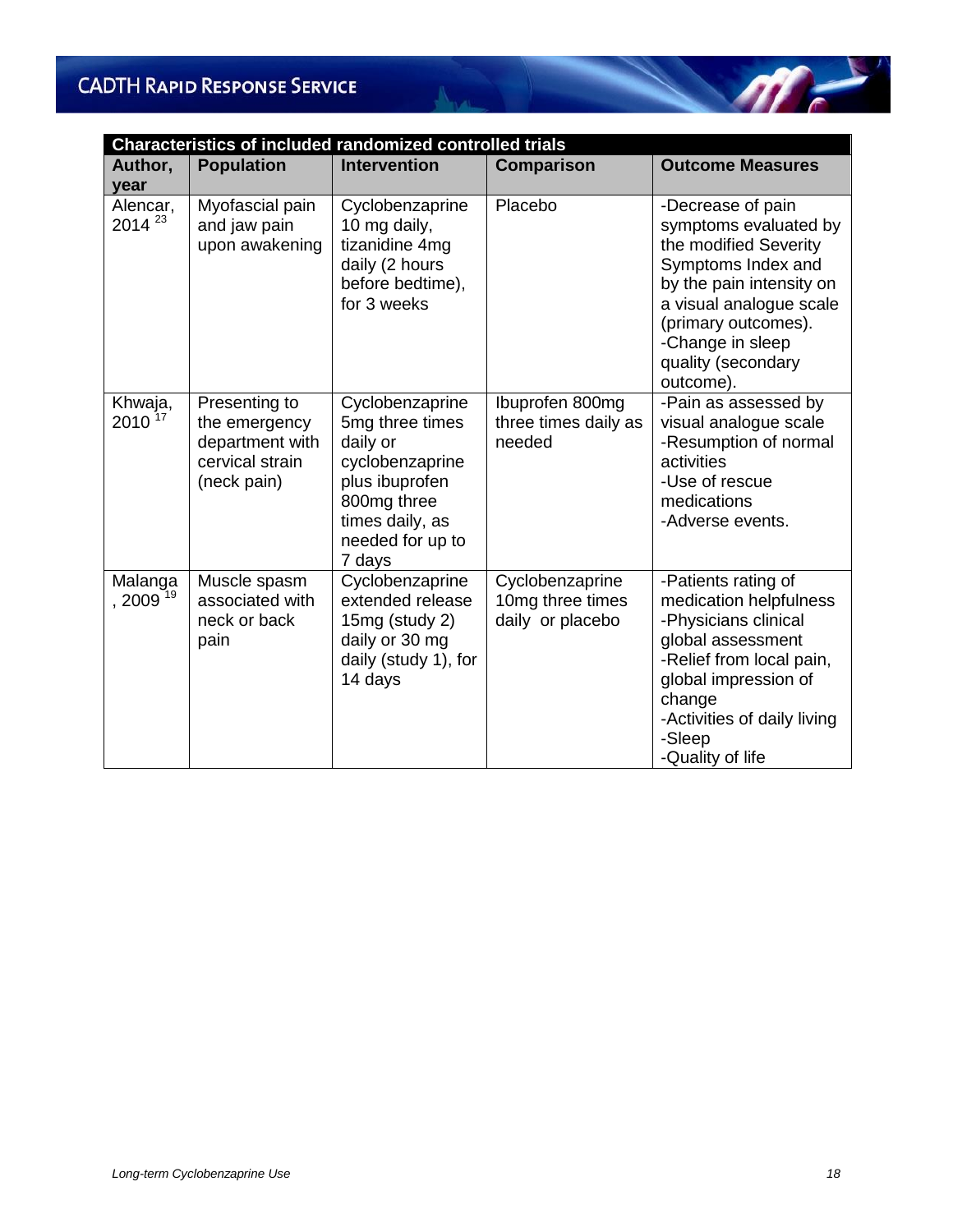| <b>Characteristics of included randomized controlled trials</b> |                                                                                     |                                                                                                                                                     |                                                         |                                                                                                                                                                                                                                |  |
|-----------------------------------------------------------------|-------------------------------------------------------------------------------------|-----------------------------------------------------------------------------------------------------------------------------------------------------|---------------------------------------------------------|--------------------------------------------------------------------------------------------------------------------------------------------------------------------------------------------------------------------------------|--|
| Author,<br>year                                                 | <b>Population</b>                                                                   | <b>Intervention</b>                                                                                                                                 | <b>Comparison</b>                                       | <b>Outcome Measures</b>                                                                                                                                                                                                        |  |
| Alencar,<br>2014 <sup>23</sup>                                  | Myofascial pain<br>and jaw pain<br>upon awakening                                   | Cyclobenzaprine<br>10 mg daily,<br>tizanidine 4mg<br>daily (2 hours<br>before bedtime),<br>for 3 weeks                                              | Placebo                                                 | -Decrease of pain<br>symptoms evaluated by<br>the modified Severity<br>Symptoms Index and<br>by the pain intensity on<br>a visual analogue scale<br>(primary outcomes).<br>-Change in sleep<br>quality (secondary<br>outcome). |  |
| Khwaja,<br>$2010^{17}$                                          | Presenting to<br>the emergency<br>department with<br>cervical strain<br>(neck pain) | Cyclobenzaprine<br>5mg three times<br>daily or<br>cyclobenzaprine<br>plus ibuprofen<br>800mg three<br>times daily, as<br>needed for up to<br>7 days | Ibuprofen 800mg<br>three times daily as<br>needed       | -Pain as assessed by<br>visual analogue scale<br>-Resumption of normal<br>activities<br>-Use of rescue<br>medications<br>-Adverse events.                                                                                      |  |
| Malanga<br>$,2009^{19}$                                         | Muscle spasm<br>associated with<br>neck or back<br>pain                             | Cyclobenzaprine<br>extended release<br>15mg (study 2)<br>daily or 30 mg<br>daily (study 1), for<br>14 days                                          | Cyclobenzaprine<br>10mg three times<br>daily or placebo | -Patients rating of<br>medication helpfulness<br>-Physicians clinical<br>global assessment<br>-Relief from local pain,<br>global impression of<br>change<br>-Activities of daily living<br>-Sleep<br>-Quality of life          |  |

North 1

 $\mathscr{M}^{\perp}$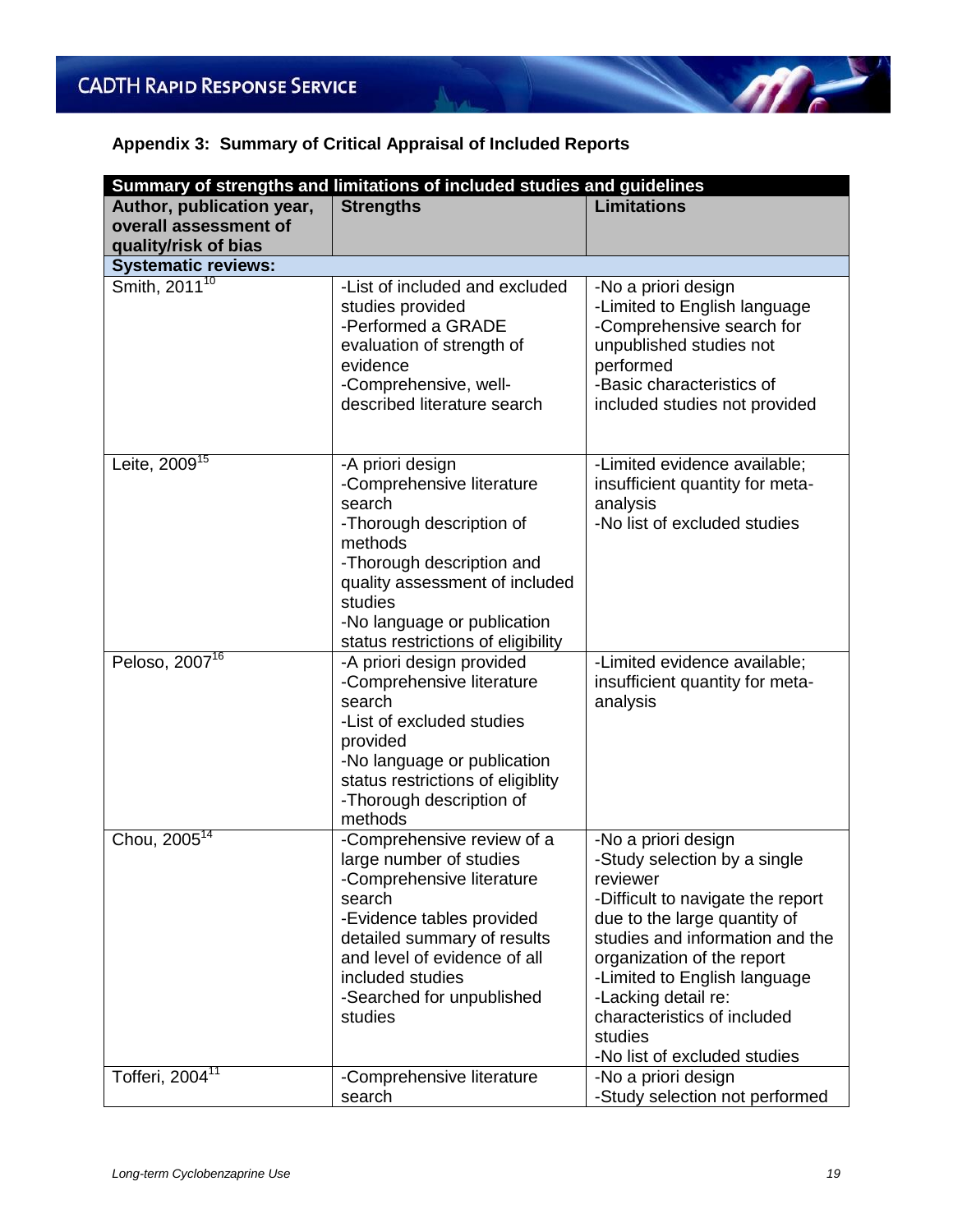### **Appendix 3: Summary of Critical Appraisal of Included Reports**

| Summary of strengths and limitations of included studies and guidelines    |                                                                                                                                                                                                                                                      |                                                                                                                                                                                                                                                                                                                                        |  |  |
|----------------------------------------------------------------------------|------------------------------------------------------------------------------------------------------------------------------------------------------------------------------------------------------------------------------------------------------|----------------------------------------------------------------------------------------------------------------------------------------------------------------------------------------------------------------------------------------------------------------------------------------------------------------------------------------|--|--|
| Author, publication year,<br>overall assessment of<br>quality/risk of bias | <b>Strengths</b>                                                                                                                                                                                                                                     | <b>Limitations</b>                                                                                                                                                                                                                                                                                                                     |  |  |
| <b>Systematic reviews:</b>                                                 |                                                                                                                                                                                                                                                      |                                                                                                                                                                                                                                                                                                                                        |  |  |
| Smith, 2011 <sup>10</sup>                                                  | -List of included and excluded<br>studies provided<br>-Performed a GRADE<br>evaluation of strength of<br>evidence<br>-Comprehensive, well-<br>described literature search                                                                            | -No a priori design<br>-Limited to English language<br>-Comprehensive search for<br>unpublished studies not<br>performed<br>-Basic characteristics of<br>included studies not provided                                                                                                                                                 |  |  |
| Leite, $200\overline{9}^{15}$                                              | -A priori design<br>-Comprehensive literature<br>search<br>-Thorough description of<br>methods<br>-Thorough description and<br>quality assessment of included<br>studies<br>-No language or publication<br>status restrictions of eligibility        | -Limited evidence available;<br>insufficient quantity for meta-<br>analysis<br>-No list of excluded studies                                                                                                                                                                                                                            |  |  |
| Peloso, 2007 <sup>16</sup>                                                 | -A priori design provided<br>-Comprehensive literature<br>search<br>-List of excluded studies<br>provided<br>-No language or publication<br>status restrictions of eligiblity<br>-Thorough description of<br>methods                                 | -Limited evidence available;<br>insufficient quantity for meta-<br>analysis                                                                                                                                                                                                                                                            |  |  |
| Chou, 2005 <sup>14</sup>                                                   | -Comprehensive review of a<br>large number of studies<br>-Comprehensive literature<br>search<br>-Evidence tables provided<br>detailed summary of results<br>and level of evidence of all<br>included studies<br>-Searched for unpublished<br>studies | -No a priori design<br>-Study selection by a single<br>reviewer<br>-Difficult to navigate the report<br>due to the large quantity of<br>studies and information and the<br>organization of the report<br>-Limited to English language<br>-Lacking detail re:<br>characteristics of included<br>studies<br>-No list of excluded studies |  |  |
| Tofferi, 2004 <sup>11</sup>                                                | -Comprehensive literature<br>search                                                                                                                                                                                                                  | -No a priori design<br>-Study selection not performed                                                                                                                                                                                                                                                                                  |  |  |

 $\eta$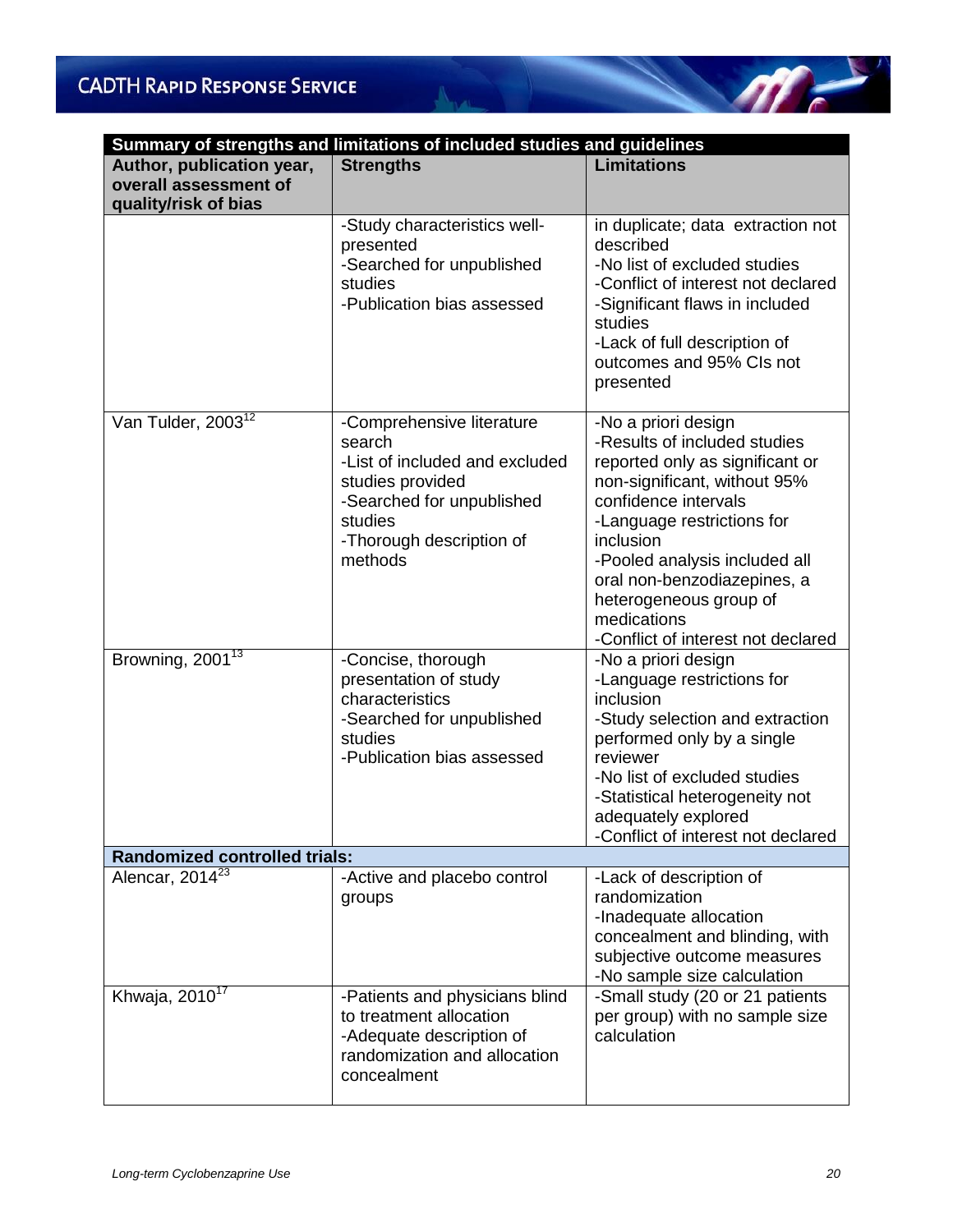| Summary of strengths and limitations of included studies and guidelines |                                                                                                                                                                          |                                                                                                                                                                                                                                                                                                                                          |  |  |  |
|-------------------------------------------------------------------------|--------------------------------------------------------------------------------------------------------------------------------------------------------------------------|------------------------------------------------------------------------------------------------------------------------------------------------------------------------------------------------------------------------------------------------------------------------------------------------------------------------------------------|--|--|--|
| Author, publication year,                                               | <b>Strengths</b>                                                                                                                                                         | <b>Limitations</b>                                                                                                                                                                                                                                                                                                                       |  |  |  |
| overall assessment of                                                   |                                                                                                                                                                          |                                                                                                                                                                                                                                                                                                                                          |  |  |  |
| quality/risk of bias                                                    |                                                                                                                                                                          |                                                                                                                                                                                                                                                                                                                                          |  |  |  |
|                                                                         | -Study characteristics well-<br>presented<br>-Searched for unpublished<br>studies<br>-Publication bias assessed                                                          | in duplicate; data extraction not<br>described<br>-No list of excluded studies<br>-Conflict of interest not declared<br>-Significant flaws in included<br>studies<br>-Lack of full description of<br>outcomes and 95% CIs not<br>presented                                                                                               |  |  |  |
| Van Tulder, 2003 <sup>12</sup>                                          | -Comprehensive literature<br>search<br>-List of included and excluded<br>studies provided<br>-Searched for unpublished<br>studies<br>-Thorough description of<br>methods | -No a priori design<br>-Results of included studies<br>reported only as significant or<br>non-significant, without 95%<br>confidence intervals<br>-Language restrictions for<br>inclusion<br>-Pooled analysis included all<br>oral non-benzodiazepines, a<br>heterogeneous group of<br>medications<br>-Conflict of interest not declared |  |  |  |
| Browning, $2001^{13}$                                                   | -Concise, thorough<br>presentation of study<br>characteristics<br>-Searched for unpublished<br>studies<br>-Publication bias assessed                                     | -No a priori design<br>-Language restrictions for<br>inclusion<br>-Study selection and extraction<br>performed only by a single<br>reviewer<br>-No list of excluded studies<br>-Statistical heterogeneity not<br>adequately explored<br>-Conflict of interest not declared                                                               |  |  |  |
| <b>Randomized controlled trials:</b>                                    |                                                                                                                                                                          |                                                                                                                                                                                                                                                                                                                                          |  |  |  |
| Alencar, 2014 <sup>23</sup>                                             | -Active and placebo control<br>groups                                                                                                                                    | -Lack of description of<br>randomization<br>-Inadequate allocation<br>concealment and blinding, with<br>subjective outcome measures<br>-No sample size calculation                                                                                                                                                                       |  |  |  |
| Khwaja, 2010 <sup>17</sup>                                              | -Patients and physicians blind<br>to treatment allocation<br>-Adequate description of<br>randomization and allocation<br>concealment                                     | -Small study (20 or 21 patients<br>per group) with no sample size<br>calculation                                                                                                                                                                                                                                                         |  |  |  |

 $N_{\rm{max}}$ 

 $\sqrt{n}$ 

 $\overline{a}$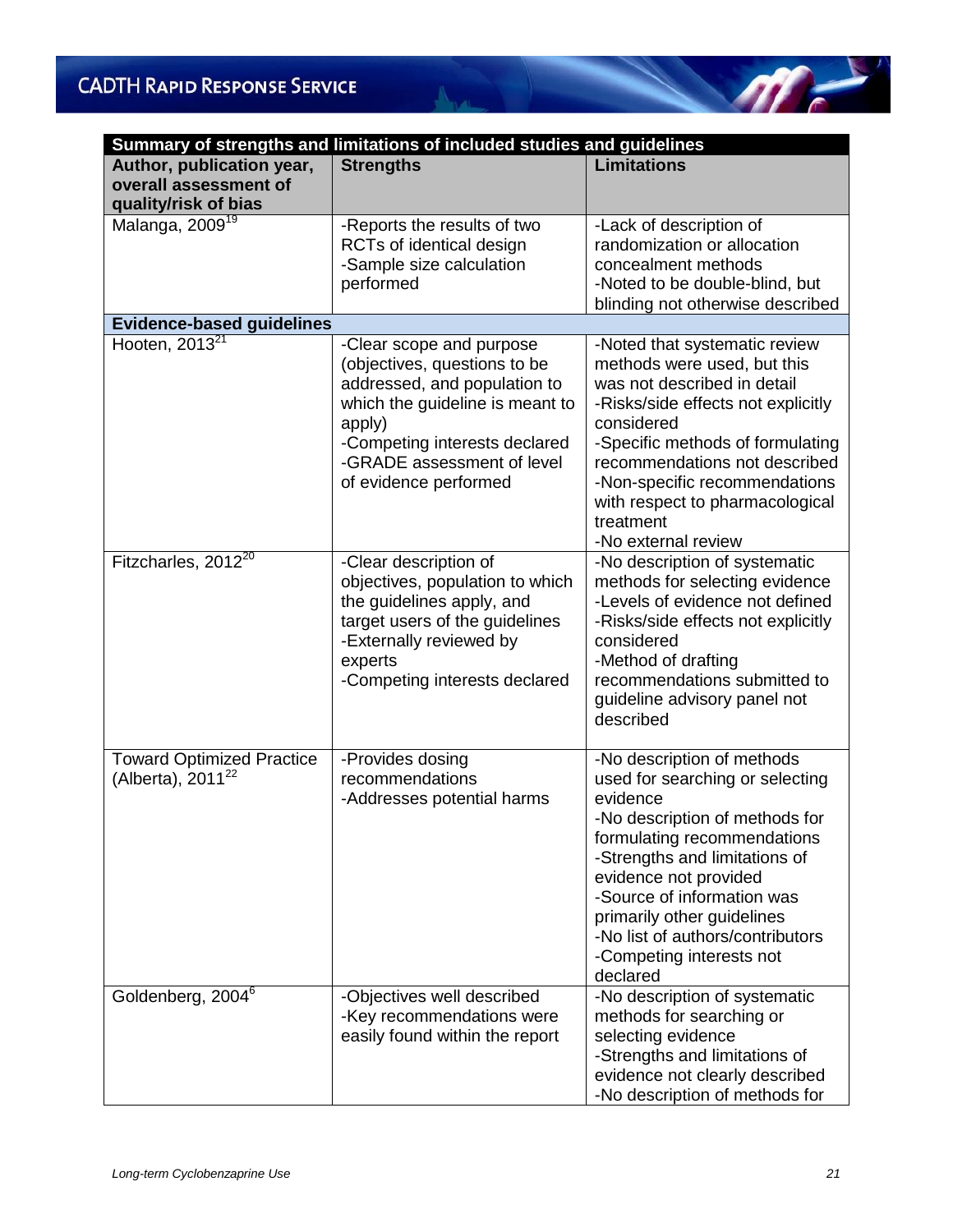| Summary of strengths and limitations of included studies and guidelines    |                                                                                                                                                                                                                               |                                                                                                                                                                                                                                                                                                                                              |  |  |  |
|----------------------------------------------------------------------------|-------------------------------------------------------------------------------------------------------------------------------------------------------------------------------------------------------------------------------|----------------------------------------------------------------------------------------------------------------------------------------------------------------------------------------------------------------------------------------------------------------------------------------------------------------------------------------------|--|--|--|
| Author, publication year,<br>overall assessment of<br>quality/risk of bias | <b>Strengths</b>                                                                                                                                                                                                              | <b>Limitations</b>                                                                                                                                                                                                                                                                                                                           |  |  |  |
| Malanga, 2009 <sup>19</sup>                                                | -Reports the results of two<br>RCTs of identical design<br>-Sample size calculation<br>performed                                                                                                                              | -Lack of description of<br>randomization or allocation<br>concealment methods<br>-Noted to be double-blind, but<br>blinding not otherwise described                                                                                                                                                                                          |  |  |  |
| <b>Evidence-based guidelines</b>                                           |                                                                                                                                                                                                                               |                                                                                                                                                                                                                                                                                                                                              |  |  |  |
| Hooten, $2013^{21}$                                                        | -Clear scope and purpose<br>(objectives, questions to be<br>addressed, and population to<br>which the guideline is meant to<br>apply)<br>-Competing interests declared<br>-GRADE assessment of level<br>of evidence performed | -Noted that systematic review<br>methods were used, but this<br>was not described in detail<br>-Risks/side effects not explicitly<br>considered<br>-Specific methods of formulating<br>recommendations not described<br>-Non-specific recommendations<br>with respect to pharmacological<br>treatment<br>-No external review                 |  |  |  |
| Fitzcharles, 2012 <sup>20</sup>                                            | -Clear description of<br>objectives, population to which<br>the guidelines apply, and<br>target users of the guidelines<br>-Externally reviewed by<br>experts<br>-Competing interests declared                                | -No description of systematic<br>methods for selecting evidence<br>-Levels of evidence not defined<br>-Risks/side effects not explicitly<br>considered<br>-Method of drafting<br>recommendations submitted to<br>guideline advisory panel not<br>described                                                                                   |  |  |  |
| <b>Toward Optimized Practice</b><br>(Alberta), $2011^{22}$                 | -Provides dosing<br>recommendations<br>-Addresses potential harms                                                                                                                                                             | -No description of methods<br>used for searching or selecting<br>evidence<br>-No description of methods for<br>formulating recommendations<br>-Strengths and limitations of<br>evidence not provided<br>-Source of information was<br>primarily other guidelines<br>-No list of authors/contributors<br>-Competing interests not<br>declared |  |  |  |
| Goldenberg, 2004 <sup>6</sup>                                              | -Objectives well described<br>-Key recommendations were<br>easily found within the report                                                                                                                                     | -No description of systematic<br>methods for searching or<br>selecting evidence<br>-Strengths and limitations of<br>evidence not clearly described<br>-No description of methods for                                                                                                                                                         |  |  |  |

 $\mathscr{M}$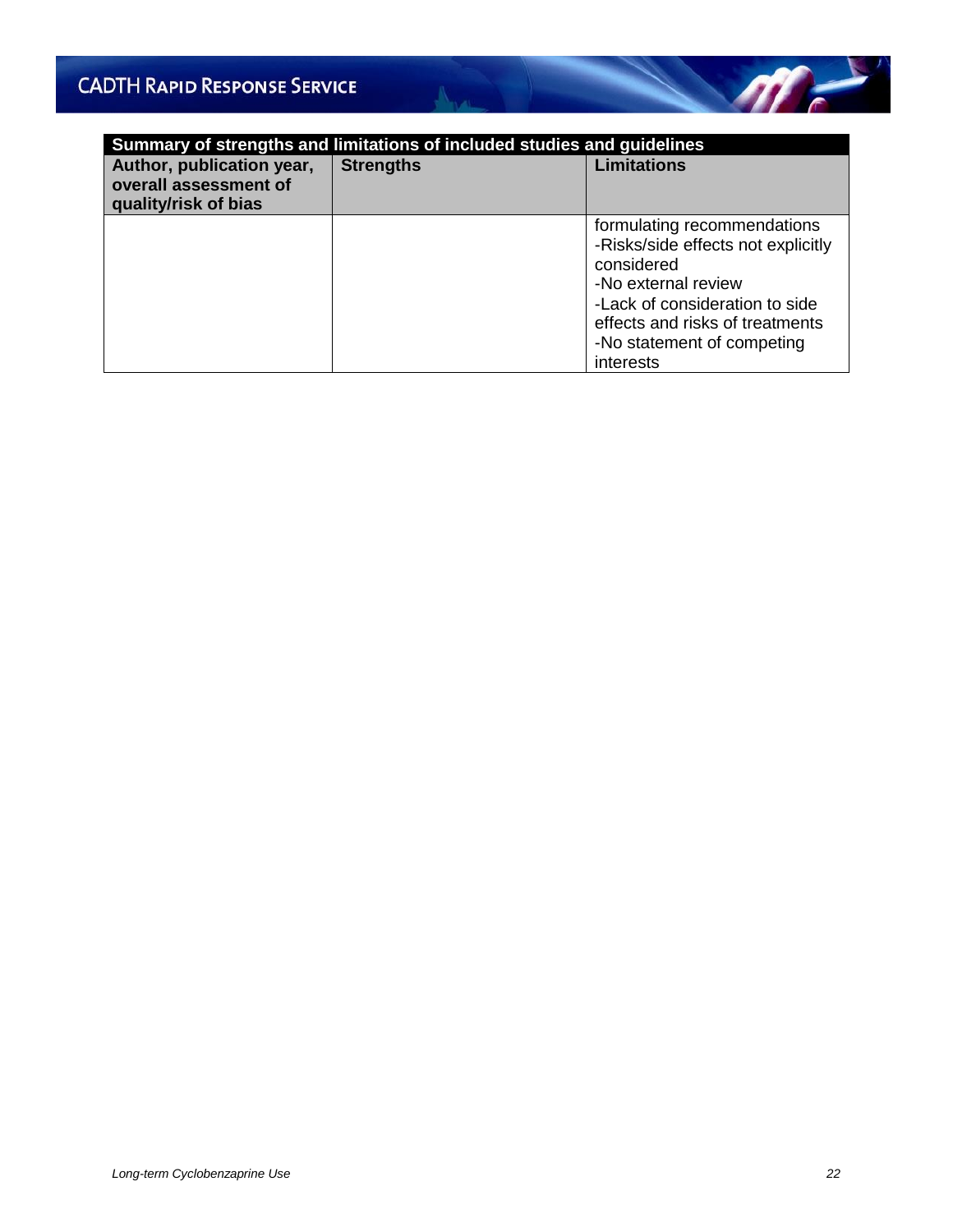| Summary of strengths and limitations of included studies and guidelines    |                  |                                                                                                                                                                                                                        |  |  |
|----------------------------------------------------------------------------|------------------|------------------------------------------------------------------------------------------------------------------------------------------------------------------------------------------------------------------------|--|--|
| Author, publication year,<br>overall assessment of<br>quality/risk of bias | <b>Strengths</b> | <b>Limitations</b>                                                                                                                                                                                                     |  |  |
|                                                                            |                  | formulating recommendations<br>-Risks/side effects not explicitly<br>considered<br>-No external review<br>-Lack of consideration to side<br>effects and risks of treatments<br>-No statement of competing<br>interests |  |  |

North Ja

 $\mathscr{M}$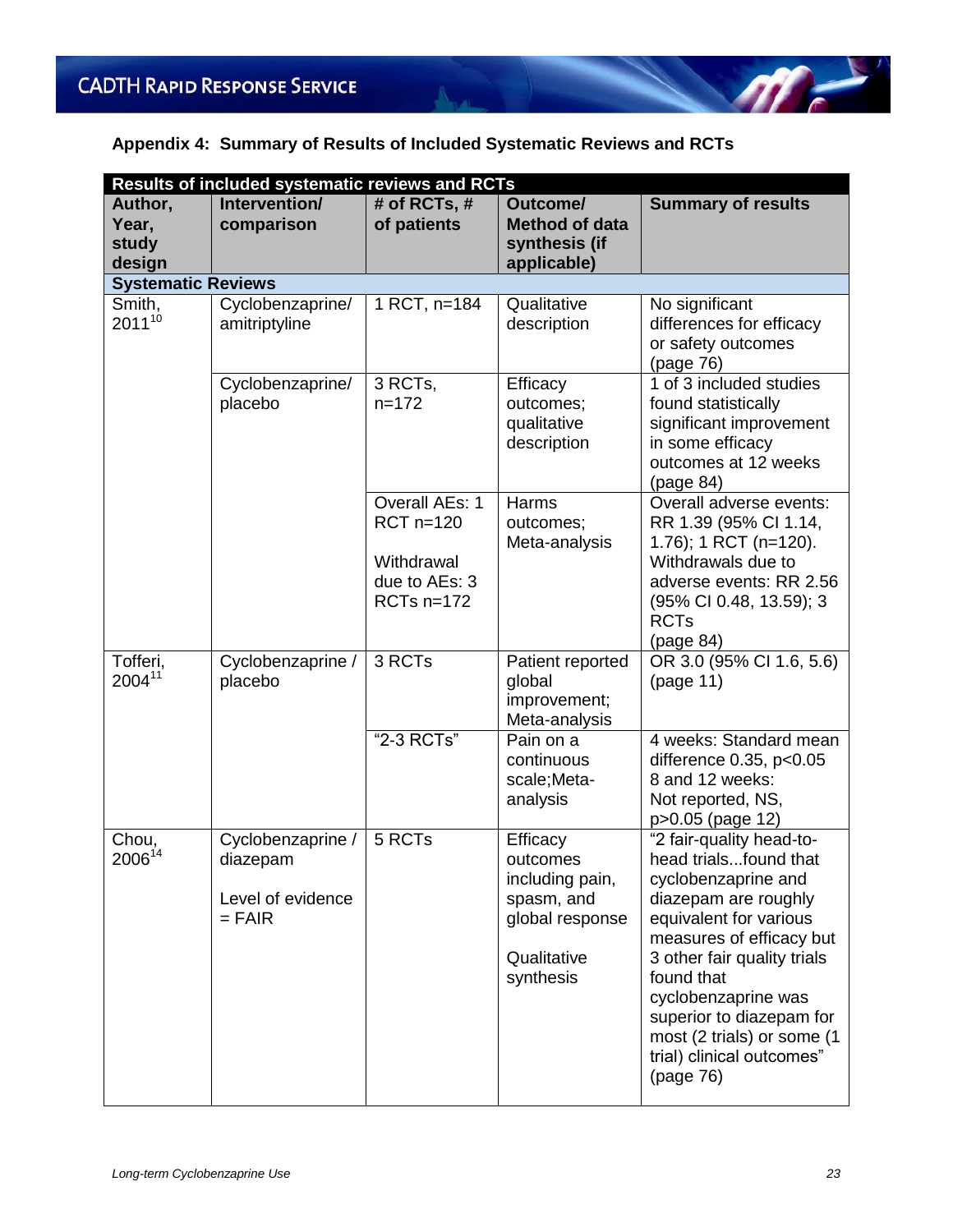### **Appendix 4: Summary of Results of Included Systematic Reviews and RCTs**

A.

| <b>Results of included systematic reviews and RCTs</b> |                                                                |                                                                              |                                                                                                      |                                                                                                                                                                                                                                                                                                                                |
|--------------------------------------------------------|----------------------------------------------------------------|------------------------------------------------------------------------------|------------------------------------------------------------------------------------------------------|--------------------------------------------------------------------------------------------------------------------------------------------------------------------------------------------------------------------------------------------------------------------------------------------------------------------------------|
| Author,<br>Year,<br>study<br>design                    | Intervention/<br>comparison                                    | # of RCTs, #<br>of patients                                                  | Outcome/<br><b>Method of data</b><br>synthesis (if<br>applicable)                                    | <b>Summary of results</b>                                                                                                                                                                                                                                                                                                      |
| <b>Systematic Reviews</b>                              |                                                                |                                                                              |                                                                                                      |                                                                                                                                                                                                                                                                                                                                |
| Smith,<br>$2011^{10}$                                  | Cyclobenzaprine/<br>amitriptyline                              | 1 RCT, n=184                                                                 | Qualitative<br>description                                                                           | No significant<br>differences for efficacy<br>or safety outcomes<br>(page 76)                                                                                                                                                                                                                                                  |
|                                                        | Cyclobenzaprine/<br>placebo                                    | 3 RCTs,<br>$n = 172$                                                         | Efficacy<br>outcomes;<br>qualitative<br>description                                                  | 1 of 3 included studies<br>found statistically<br>significant improvement<br>in some efficacy<br>outcomes at 12 weeks<br>(page 84)                                                                                                                                                                                             |
|                                                        |                                                                | Overall AEs: 1<br>$RCT$ n=120<br>Withdrawal<br>due to AEs: 3<br>RCTs $n=172$ | Harms<br>outcomes;<br>Meta-analysis                                                                  | Overall adverse events:<br>RR 1.39 (95% Cl 1.14,<br>1.76); 1 RCT (n=120).<br>Withdrawals due to<br>adverse events: RR 2.56<br>(95% CI 0.48, 13.59); 3<br><b>RCTs</b><br>(page 84)                                                                                                                                              |
| Tofferi,<br>200411                                     | Cyclobenzaprine /<br>placebo                                   | 3 RCTs                                                                       | Patient reported<br>global<br>improvement;<br>Meta-analysis                                          | OR 3.0 (95% CI 1.6, 5.6)<br>(page 11)                                                                                                                                                                                                                                                                                          |
|                                                        |                                                                | "2-3 RCTs"                                                                   | Pain on a<br>continuous<br>scale; Meta-<br>analysis                                                  | 4 weeks: Standard mean<br>difference 0.35, p<0.05<br>8 and 12 weeks:<br>Not reported, NS,<br>p>0.05 (page 12)                                                                                                                                                                                                                  |
| Chou,<br>$2006^{14}$                                   | Cyclobenzaprine /<br>diazepam<br>Level of evidence<br>$=$ FAIR | 5 RCTs                                                                       | Efficacy<br>outcomes<br>including pain,<br>spasm, and<br>global response<br>Qualitative<br>synthesis | "2 fair-quality head-to-<br>head trialsfound that<br>cyclobenzaprine and<br>diazepam are roughly<br>equivalent for various<br>measures of efficacy but<br>3 other fair quality trials<br>found that<br>cyclobenzaprine was<br>superior to diazepam for<br>most (2 trials) or some (1<br>trial) clinical outcomes"<br>(page 76) |

 $m<sub>1</sub>$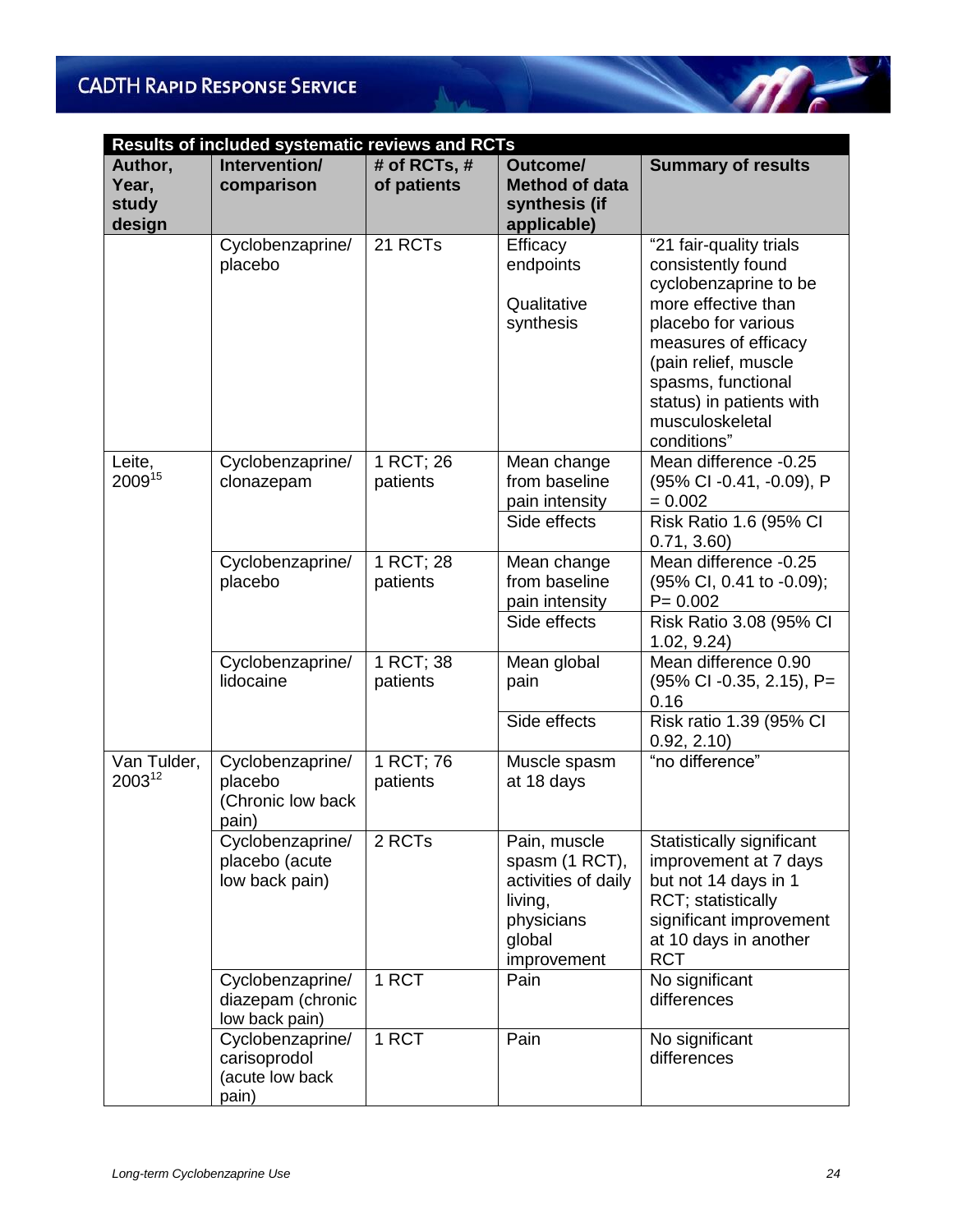|                                     | <b>Results of included systematic reviews and RCTs</b>       |                             |                                                                                                         |                                                                                                                                                                                                                                                          |  |  |
|-------------------------------------|--------------------------------------------------------------|-----------------------------|---------------------------------------------------------------------------------------------------------|----------------------------------------------------------------------------------------------------------------------------------------------------------------------------------------------------------------------------------------------------------|--|--|
| Author,<br>Year.<br>study<br>design | Intervention/<br>comparison                                  | # of RCTs, #<br>of patients | Outcome/<br><b>Method of data</b><br>synthesis (if<br>applicable)                                       | <b>Summary of results</b>                                                                                                                                                                                                                                |  |  |
|                                     | Cyclobenzaprine/<br>placebo                                  | 21 RCTs                     | Efficacy<br>endpoints<br>Qualitative<br>synthesis                                                       | "21 fair-quality trials<br>consistently found<br>cyclobenzaprine to be<br>more effective than<br>placebo for various<br>measures of efficacy<br>(pain relief, muscle<br>spasms, functional<br>status) in patients with<br>musculoskeletal<br>conditions" |  |  |
| Leite,<br>200915                    | Cyclobenzaprine/<br>clonazepam                               | 1 RCT; 26<br>patients       | Mean change<br>from baseline<br>pain intensity<br>Side effects                                          | Mean difference -0.25<br>(95% CI -0.41, -0.09), P<br>$= 0.002$<br>Risk Ratio 1.6 (95% CI<br>0.71, 3.60                                                                                                                                                   |  |  |
|                                     | Cyclobenzaprine/<br>placebo                                  | 1 RCT; 28<br>patients       | Mean change<br>from baseline<br>pain intensity<br>Side effects                                          | Mean difference -0.25<br>(95% CI, 0.41 to -0.09);<br>$P = 0.002$<br>Risk Ratio 3.08 (95% CI<br>1.02, 9.24)                                                                                                                                               |  |  |
|                                     | Cyclobenzaprine/<br>lidocaine                                | 1 RCT; 38<br>patients       | Mean global<br>pain<br>Side effects                                                                     | Mean difference 0.90<br>$(95\% \text{ Cl } -0.35, 2.15), P=$<br>0.16<br>Risk ratio 1.39 (95% CI<br>0.92, 2.10                                                                                                                                            |  |  |
| Van Tulder,<br>200312               | Cyclobenzaprine/<br>placebo<br>(Chronic low back<br>pain)    | 1 RCT; 76<br>patients       | Muscle spasm<br>at 18 days                                                                              | "no difference"                                                                                                                                                                                                                                          |  |  |
|                                     | Cyclobenzaprine/<br>placebo (acute<br>low back pain)         | 2 RCTs                      | Pain, muscle<br>spasm (1 RCT),<br>activities of daily<br>living,<br>physicians<br>global<br>improvement | Statistically significant<br>improvement at 7 days<br>but not 14 days in 1<br>RCT; statistically<br>significant improvement<br>at 10 days in another<br><b>RCT</b>                                                                                       |  |  |
|                                     | Cyclobenzaprine/<br>diazepam (chronic<br>low back pain)      | 1 RCT                       | Pain                                                                                                    | No significant<br>differences                                                                                                                                                                                                                            |  |  |
|                                     | Cyclobenzaprine/<br>carisoprodol<br>(acute low back<br>pain) | 1 RCT                       | Pain                                                                                                    | No significant<br>differences                                                                                                                                                                                                                            |  |  |

Age of the

 $\leq$ 

 $\sqrt{m}$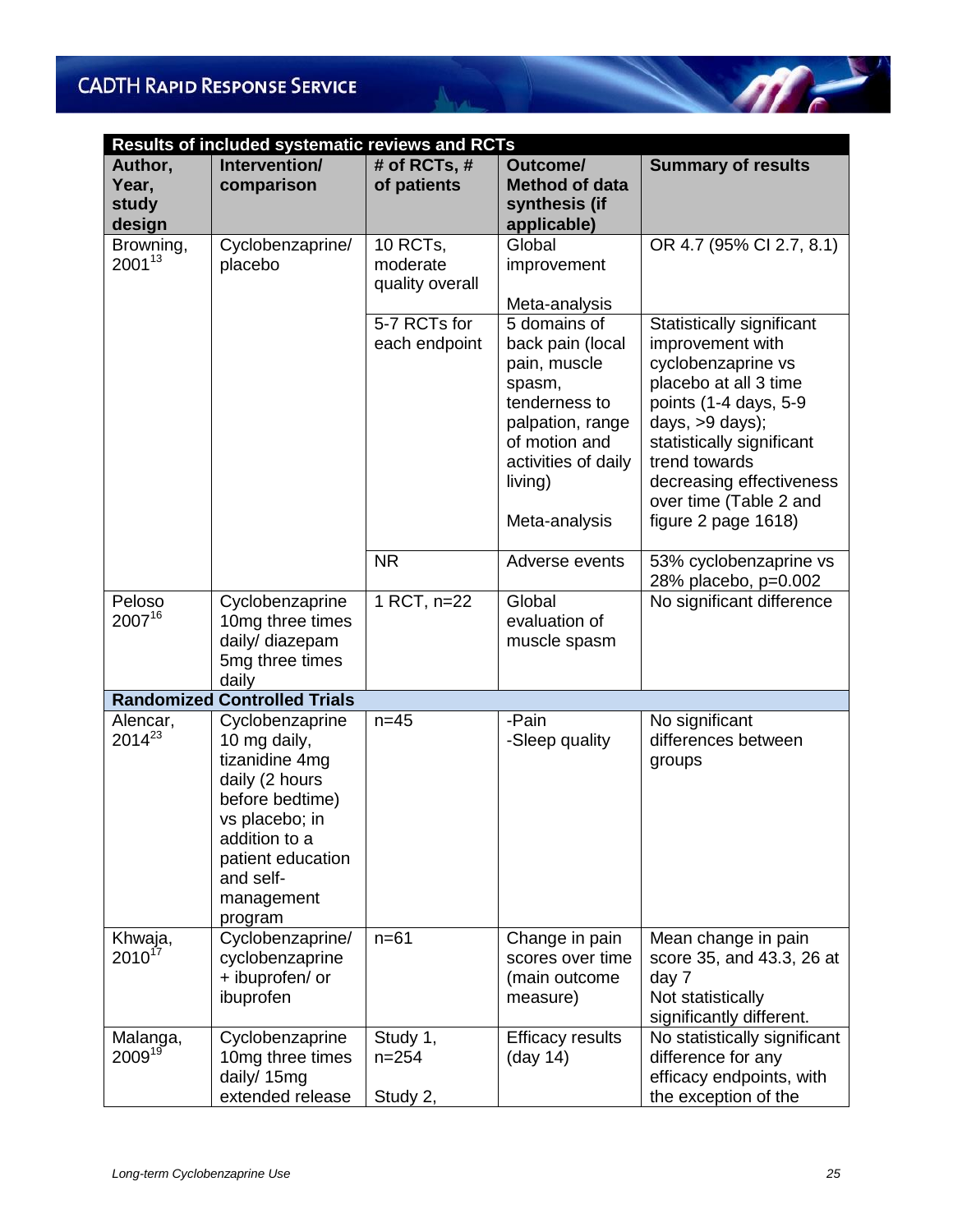| <b>Results of included systematic reviews and RCTs</b> |                                                                                                                                                                                      |                                         |                                                                                                                                                                     |                                                                                                                                                                                                                                                                     |  |
|--------------------------------------------------------|--------------------------------------------------------------------------------------------------------------------------------------------------------------------------------------|-----------------------------------------|---------------------------------------------------------------------------------------------------------------------------------------------------------------------|---------------------------------------------------------------------------------------------------------------------------------------------------------------------------------------------------------------------------------------------------------------------|--|
| Author,<br>Year,<br>study<br>design                    | Intervention/<br>comparison                                                                                                                                                          | # of RCTs, #<br>of patients             | Outcome/<br><b>Method of data</b><br>synthesis (if<br>applicable)                                                                                                   | <b>Summary of results</b>                                                                                                                                                                                                                                           |  |
| Browning,<br>$2001^{13}$                               | Cyclobenzaprine/<br>placebo                                                                                                                                                          | 10 RCTs,<br>moderate<br>quality overall | Global<br>improvement<br>Meta-analysis                                                                                                                              | OR 4.7 (95% CI 2.7, 8.1)                                                                                                                                                                                                                                            |  |
|                                                        |                                                                                                                                                                                      | 5-7 RCTs for<br>each endpoint           | 5 domains of<br>back pain (local<br>pain, muscle<br>spasm,<br>tenderness to<br>palpation, range<br>of motion and<br>activities of daily<br>living)<br>Meta-analysis | Statistically significant<br>improvement with<br>cyclobenzaprine vs<br>placebo at all 3 time<br>points (1-4 days, 5-9<br>days, >9 days);<br>statistically significant<br>trend towards<br>decreasing effectiveness<br>over time (Table 2 and<br>figure 2 page 1618) |  |
|                                                        |                                                                                                                                                                                      | <b>NR</b>                               | Adverse events                                                                                                                                                      | 53% cyclobenzaprine vs<br>28% placebo, p=0.002                                                                                                                                                                                                                      |  |
| Peloso<br>200716                                       | Cyclobenzaprine<br>10mg three times<br>daily/ diazepam<br>5mg three times<br>daily                                                                                                   | 1 RCT, n=22                             | Global<br>evaluation of<br>muscle spasm                                                                                                                             | No significant difference                                                                                                                                                                                                                                           |  |
|                                                        | <b>Randomized Controlled Trials</b>                                                                                                                                                  |                                         |                                                                                                                                                                     |                                                                                                                                                                                                                                                                     |  |
| Alencar,<br>$2014^{23}$                                | Cyclobenzaprine<br>10 mg daily,<br>tizanidine 4mg<br>daily (2 hours<br>before bedtime)<br>vs placebo; in<br>addition to a<br>patient education<br>and self-<br>management<br>program | $n=45$                                  | -Pain<br>-Sleep quality                                                                                                                                             | No significant<br>differences between<br>groups                                                                                                                                                                                                                     |  |
| Khwaja,<br>$2010^{17}$                                 | Cyclobenzaprine/<br>cyclobenzaprine<br>+ ibuprofen/ or<br>ibuprofen                                                                                                                  | $n = 61$                                | Change in pain<br>scores over time<br>(main outcome<br>measure)                                                                                                     | Mean change in pain<br>score 35, and 43.3, 26 at<br>day 7<br>Not statistically<br>significantly different.                                                                                                                                                          |  |
| Malanga,<br>$2009^{19}$                                | Cyclobenzaprine<br>10mg three times<br>daily/ 15mg<br>extended release                                                                                                               | Study 1,<br>$n = 254$<br>Study 2,       | <b>Efficacy results</b><br>(day 14)                                                                                                                                 | No statistically significant<br>difference for any<br>efficacy endpoints, with<br>the exception of the                                                                                                                                                              |  |

North Ja

 $\mathscr{M}^{\perp}$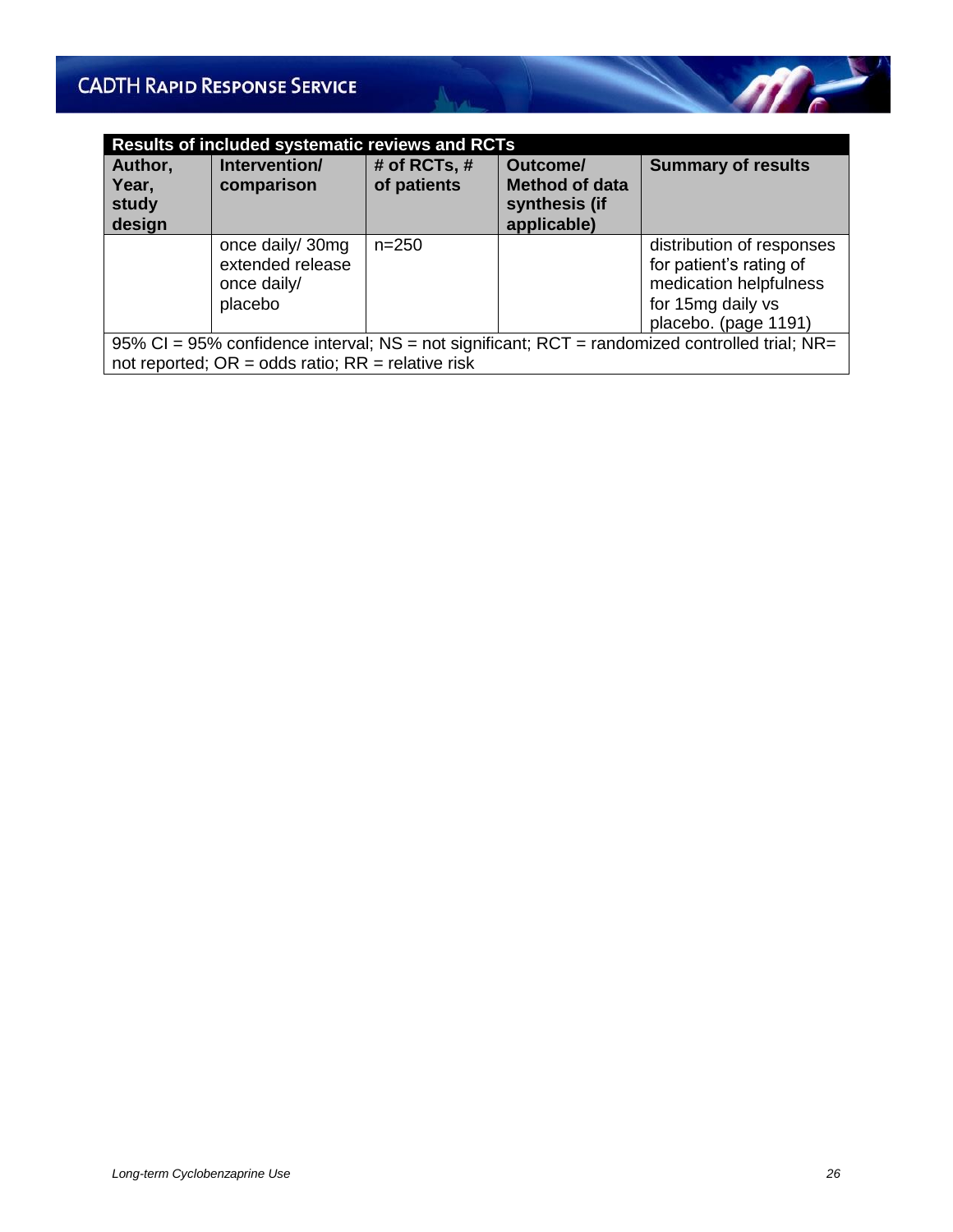| <b>Results of included systematic reviews and RCTs</b> |                                                                                                                                                               |                               |                                                                   |                                                                                                                             |  |  |
|--------------------------------------------------------|---------------------------------------------------------------------------------------------------------------------------------------------------------------|-------------------------------|-------------------------------------------------------------------|-----------------------------------------------------------------------------------------------------------------------------|--|--|
| Author,<br>Year,<br>study<br>design                    | Intervention/<br>comparison                                                                                                                                   | # of RCTs, $#$<br>of patients | Outcome/<br><b>Method of data</b><br>synthesis (if<br>applicable) | <b>Summary of results</b>                                                                                                   |  |  |
|                                                        | once daily/ 30mg<br>extended release<br>once daily/<br>placebo                                                                                                | $n = 250$                     |                                                                   | distribution of responses<br>for patient's rating of<br>medication helpfulness<br>for 15mg daily vs<br>placebo. (page 1191) |  |  |
|                                                        | 95% CI = 95% confidence interval; $NS = not$ significant; RCT = randomized controlled trial; $NR =$<br>not reported; $OR = odds ratio$ ; $RR = relative risk$ |                               |                                                                   |                                                                                                                             |  |  |

Albert 1

 $\mathscr{M}$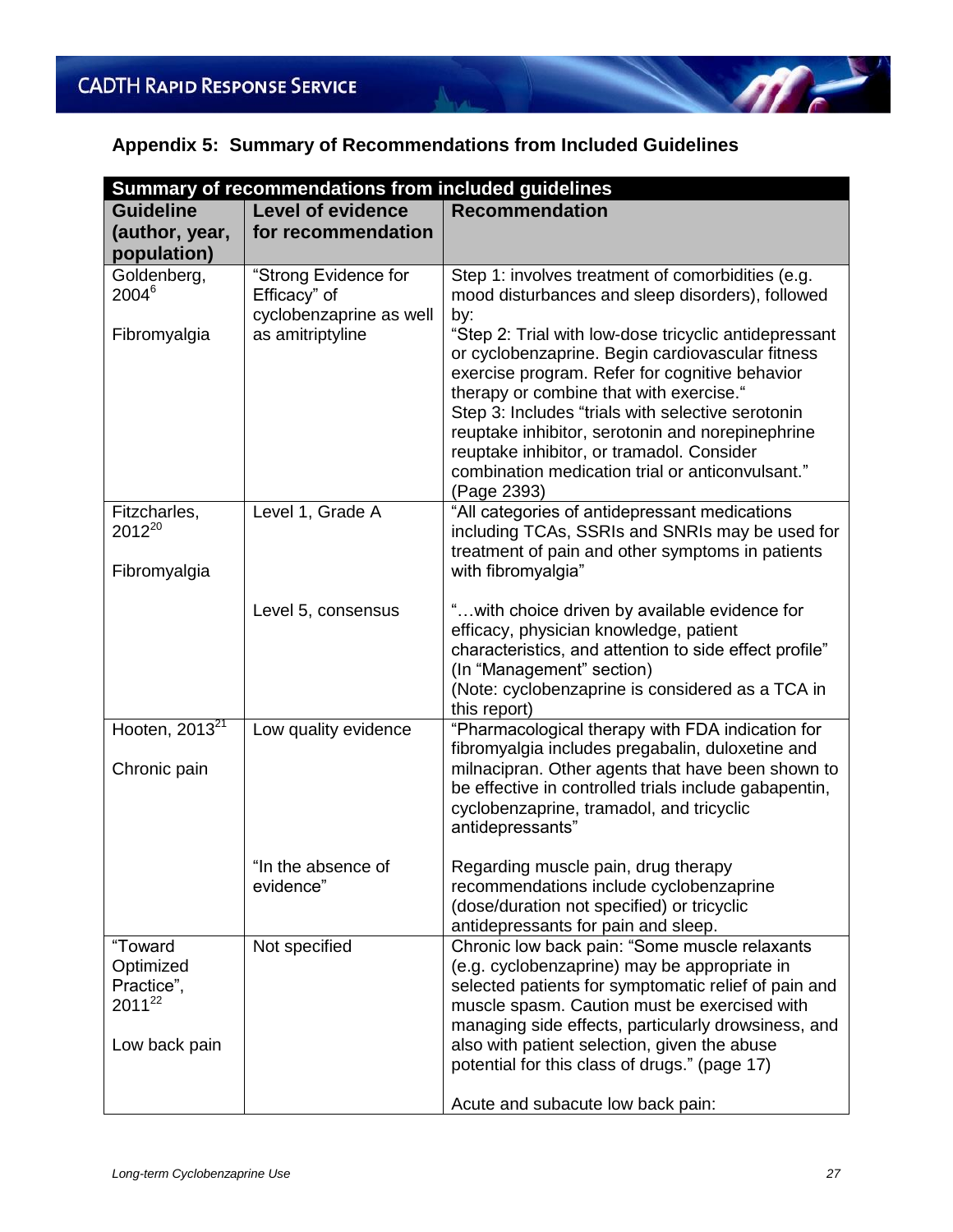### **Appendix 5: Summary of Recommendations from Included Guidelines**

| Summary of recommendations from included guidelines |                          |                                                                                                            |  |
|-----------------------------------------------------|--------------------------|------------------------------------------------------------------------------------------------------------|--|
| <b>Guideline</b>                                    | <b>Level of evidence</b> | <b>Recommendation</b>                                                                                      |  |
| (author, year,                                      | for recommendation       |                                                                                                            |  |
| population)                                         |                          |                                                                                                            |  |
| Goldenberg,                                         | "Strong Evidence for     | Step 1: involves treatment of comorbidities (e.g.                                                          |  |
| $2004^6$                                            | Efficacy" of             | mood disturbances and sleep disorders), followed                                                           |  |
|                                                     | cyclobenzaprine as well  | by:                                                                                                        |  |
| Fibromyalgia                                        | as amitriptyline         | "Step 2: Trial with low-dose tricyclic antidepressant                                                      |  |
|                                                     |                          | or cyclobenzaprine. Begin cardiovascular fitness<br>exercise program. Refer for cognitive behavior         |  |
|                                                     |                          | therapy or combine that with exercise."                                                                    |  |
|                                                     |                          | Step 3: Includes "trials with selective serotonin                                                          |  |
|                                                     |                          | reuptake inhibitor, serotonin and norepinephrine                                                           |  |
|                                                     |                          | reuptake inhibitor, or tramadol. Consider                                                                  |  |
|                                                     |                          | combination medication trial or anticonvulsant."                                                           |  |
| Fitzcharles,                                        | Level 1, Grade A         | (Page 2393)<br>"All categories of antidepressant medications                                               |  |
| $2012^{20}$                                         |                          | including TCAs, SSRIs and SNRIs may be used for                                                            |  |
|                                                     |                          | treatment of pain and other symptoms in patients                                                           |  |
| Fibromyalgia                                        |                          | with fibromyalgia"                                                                                         |  |
|                                                     |                          |                                                                                                            |  |
|                                                     | Level 5, consensus       | " with choice driven by available evidence for                                                             |  |
|                                                     |                          | efficacy, physician knowledge, patient<br>characteristics, and attention to side effect profile"           |  |
|                                                     |                          | (In "Management" section)                                                                                  |  |
|                                                     |                          | (Note: cyclobenzaprine is considered as a TCA in                                                           |  |
|                                                     |                          | this report)                                                                                               |  |
| Hooten, $20\overline{13}^{21}$                      | Low quality evidence     | "Pharmacological therapy with FDA indication for                                                           |  |
|                                                     |                          | fibromyalgia includes pregabalin, duloxetine and                                                           |  |
| Chronic pain                                        |                          | milnacipran. Other agents that have been shown to<br>be effective in controlled trials include gabapentin, |  |
|                                                     |                          | cyclobenzaprine, tramadol, and tricyclic                                                                   |  |
|                                                     |                          | antidepressants"                                                                                           |  |
|                                                     |                          |                                                                                                            |  |
|                                                     | "In the absence of       | Regarding muscle pain, drug therapy                                                                        |  |
|                                                     | evidence"                | recommendations include cyclobenzaprine                                                                    |  |
|                                                     |                          | (dose/duration not specified) or tricyclic<br>antidepressants for pain and sleep.                          |  |
| "Toward                                             | Not specified            | Chronic low back pain: "Some muscle relaxants                                                              |  |
| Optimized                                           |                          | (e.g. cyclobenzaprine) may be appropriate in                                                               |  |
| Practice",                                          |                          | selected patients for symptomatic relief of pain and                                                       |  |
| 2011 <sup>22</sup>                                  |                          | muscle spasm. Caution must be exercised with                                                               |  |
|                                                     |                          | managing side effects, particularly drowsiness, and                                                        |  |
| Low back pain                                       |                          | also with patient selection, given the abuse<br>potential for this class of drugs." (page 17)              |  |
|                                                     |                          |                                                                                                            |  |
|                                                     |                          | Acute and subacute low back pain:                                                                          |  |

 $m<sup>2</sup>$